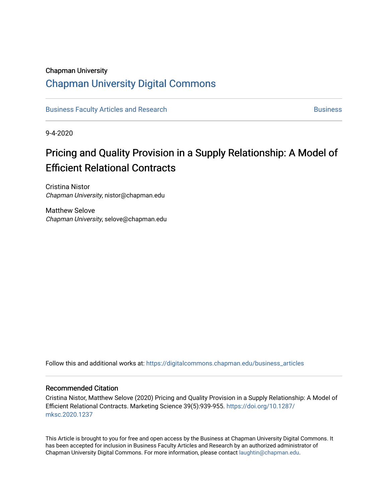## Chapman University

## [Chapman University Digital Commons](https://digitalcommons.chapman.edu/)

[Business Faculty Articles and Research](https://digitalcommons.chapman.edu/business_articles) [Business](https://digitalcommons.chapman.edu/business) **Business** Business

9-4-2020

# Pricing and Quality Provision in a Supply Relationship: A Model of Efficient Relational Contracts

Cristina Nistor Chapman University, nistor@chapman.edu

Matthew Selove Chapman University, selove@chapman.edu

Follow this and additional works at: [https://digitalcommons.chapman.edu/business\\_articles](https://digitalcommons.chapman.edu/business_articles?utm_source=digitalcommons.chapman.edu%2Fbusiness_articles%2F103&utm_medium=PDF&utm_campaign=PDFCoverPages) 

## Recommended Citation

Cristina Nistor, Matthew Selove (2020) Pricing and Quality Provision in a Supply Relationship: A Model of Efficient Relational Contracts. Marketing Science 39(5):939-955. [https://doi.org/10.1287/](https://doi.org/10.1287/mksc.2020.1237) [mksc.2020.1237](https://doi.org/10.1287/mksc.2020.1237)

This Article is brought to you for free and open access by the Business at Chapman University Digital Commons. It has been accepted for inclusion in Business Faculty Articles and Research by an authorized administrator of Chapman University Digital Commons. For more information, please contact [laughtin@chapman.edu](mailto:laughtin@chapman.edu).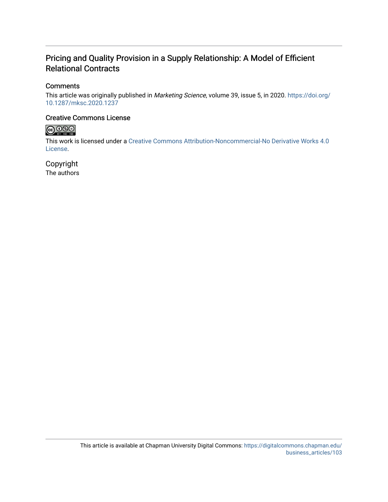## Pricing and Quality Provision in a Supply Relationship: A Model of Efficient Relational Contracts

## **Comments**

This article was originally published in Marketing Science, volume 39, issue 5, in 2020. [https://doi.org/](https://doi.org/10.1287/mksc.2020.1237) [10.1287/mksc.2020.1237](https://doi.org/10.1287/mksc.2020.1237) 

## Creative Commons License



This work is licensed under a [Creative Commons Attribution-Noncommercial-No Derivative Works 4.0](https://creativecommons.org/licenses/by-nc-nd/4.0/) [License](https://creativecommons.org/licenses/by-nc-nd/4.0/).

Copyright The authors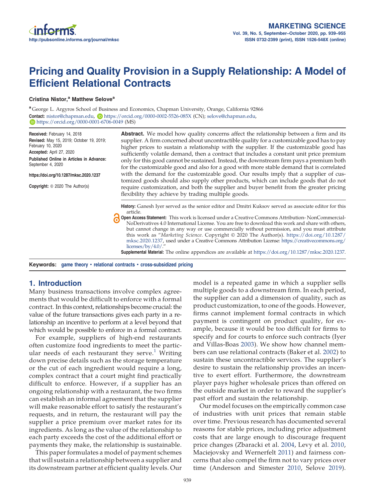# Pricing and Quality Provision in a Supply Relationship: A Model of Efficient Relational Contracts

#### Cristina Nistor,<sup>a</sup> Matthew Selove<sup>a</sup>

<sup>a</sup> George L. Argyros School of Business and Economics, Chapman University, Orange, California 92866 Contact: [nistor@chapman.edu](mailto:nistor@chapman.edu), D <https://orcid.org/0000-0002-5526-085X> (CN); [selove@chapman.edu](mailto:selove@chapman.edu), <https://orcid.org/0000-0001-6706-0049> (MS)

Received: February 14, 2018 Revised: May 15, 2019; October 19, 2019; February 10, 2020 Accepted: April 27, 2020 Published Online in Articles in Advance: September 4, 2020

<https://doi.org/10.1287/mksc.2020.1237>

Copyright: © 2020 The Author(s)

**Abstract.** We model how quality concerns affect the relationship between a firm and its supplier. A firm concerned about uncontractible quality for a customizable good has to pay higher prices to sustain a relationship with the supplier. If the customizable good has sufficiently volatile demand, then a contract that includes a constant unit price premium only for this good cannot be sustained. Instead, the downstream firm pays a premium both for the customizable good and also for a good with more stable demand that is correlated with the demand for the customizable good. Our results imply that a supplier of customized goods should also supply other products, which can include goods that do not require customization, and both the supplier and buyer benefit from the greater pricing flexibility they achieve by trading multiple goods.

History: Ganesh Iyer served as the senior editor and Dmitri Kuksov served as associate editor for this article.

Open Access Statement: This work is licensed under a Creative Commons Attribution- NonCommercial-NoDerivatives 4.0 International License. You are free to download this work and share with others, but cannot change in any way or use commercially without permission, and you must attribute this work as "Marketing Science. Copyright © 2020 The Author(s). [https://doi.org/10.1287/](https://doi.org/10.1287/mksc.2020.1237) [mksc.2020.1237](https://doi.org/10.1287/mksc.2020.1237), used under a Creative Commons Attribution License: [https://creativecommons.org/](https://creativecommons.org/licenses/by/4.0/) [licenses/by/4.0/](https://creativecommons.org/licenses/by/4.0/)."

Supplemental Material: The online appendices are available at [https://doi.org/10.1287/mksc.2020.1237.](https://doi.org/10.1287/mksc.2020.1237)

Keywords: game theory • relational contracts • cross-subsidized pricing

### 1. Introduction

Many business transactions involve complex agreements that would be difficult to enforce with a formal contract. In this context, relationships become crucial: the value of the future transactions gives each party in a relationship an incentive to perform at a level beyond that which would be possible to enforce in a formal contract.

For example, suppliers of high-end restaurants often customize food ingredients to meet the partic-ular needs of each restaurant they serve.<sup>[1](#page-16-0)</sup> Writing down precise details such as the storage temperature or the cut of each ingredient would require a long, complex contract that a court might find practically difficult to enforce. However, if a supplier has an ongoing relationship with a restaurant, the two firms can establish an informal agreement that the supplier will make reasonable effort to satisfy the restaurant's requests, and in return, the restaurant will pay the supplier a price premium over market rates for its ingredients. As long as the value of the relationship to each party exceeds the cost of the additional effort or payments they make, the relationship is sustainable.

This paper formulates a model of payment schemes that will sustain a relationship between a supplier and its downstream partner at efficient quality levels. Our

model is a repeated game in which a supplier sells multiple goods to a downstream firm. In each period, the supplier can add a dimension of quality, such as product customization, to one of the goods. However, firms cannot implement formal contracts in which payment is contingent on product quality, for example, because it would be too difficult for firms to specify and for courts to enforce such contracts (Iyer and Villas-Boas [2003\)](#page-17-0). We show how channel members can use relational contracts (Baker et al. [2002\)](#page-17-1) to sustain these uncontractible services. The supplier's desire to sustain the relationship provides an incentive to exert effort. Furthermore, the downstream player pays higher wholesale prices than offered on the outside market in order to reward the supplier's past effort and sustain the relationship.

Our model focuses on the empirically common case of industries with unit prices that remain stable over time. Previous research has documented several reasons for stable prices, including price adjustment costs that are large enough to discourage frequent price changes (Zbaracki et al. [2004,](#page-18-0) Levy et al. [2010](#page-17-2), Maciejovsky and Wernerfelt [2011\)](#page-17-3) and fairness concerns that also compel the firm not to vary prices over time (Anderson and Simester [2010](#page-17-4), Selove [2019\)](#page-17-5).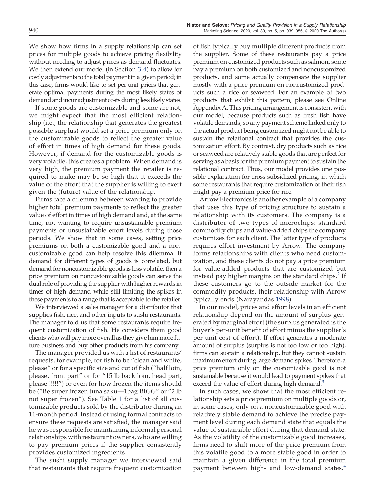We show how firms in a supply relationship can set prices for multiple goods to achieve pricing flexibility without needing to adjust prices as demand fluctuates. We then extend our model (in Section [3.4\)](#page-11-0) to allow for costly adjustments to the total payment in a given period; in this case, firms would like to set per-unit prices that generate optimal payments during the most likely states of demand and incur adjustment costs during less likely states.

If some goods are customizable and some are not, we might expect that the most efficient relationship (i.e., the relationship that generates the greatest possible surplus) would set a price premium only on the customizable goods to reflect the greater value of effort in times of high demand for these goods. However, if demand for the customizable goods is very volatile, this creates a problem. When demand is very high, the premium payment the retailer is required to make may be so high that it exceeds the value of the effort that the supplier is willing to exert given the (future) value of the relationship.

Firms face a dilemma between wanting to provide higher total premium payments to reflect the greater value of effort in times of high demand and, at the same time, not wanting to require unsustainable premium payments or unsustainable effort levels during those periods. We show that in some cases, setting price premiums on both a customizable good and a noncustomizable good can help resolve this dilemma. If demand for different types of goods is correlated, but demand for noncustomizable goods is less volatile, then a price premium on noncustomizable goods can serve the dual role of providing the supplier with higher rewards in times of high demand while still limiting the spikes in these payments to a range that is acceptable to the retailer.

We interviewed a sales manager for a distributor that supplies fish, rice, and other inputs to sushi restaurants. The manager told us that some restaurants require frequent customization of fish. He considers them good clients who will pay more overall as they give him more future business and buy other products from his company.

The manager provided us with a list of restaurants' requests, for example, for fish to be "clean and white, please" or for a specific size and cut of fish ("half loin, please, front part" or for "15 lb back loin, head part, please !!!!!") or even for how frozen the items should be ("Be super frozen tuna saku—1bag BIGG" or "2 lb not super frozen"). See Table [1](#page-4-0) for a list of all customizable products sold by the distributor during an 11-month period. Instead of using formal contracts to ensure these requests are satisfied, the manager said he was responsible for maintaining informal personal relationships with restaurant owners, who are willing to pay premium prices if the supplier consistently provides customized ingredients.

The sushi supply manager we interviewed said that restaurants that require frequent customization of fish typically buy multiple different products from the supplier. Some of these restaurants pay a price premium on customized products such as salmon, some pay a premium on both customized and noncustomized products, and some actually compensate the supplier mostly with a price premium on noncustomized products such a rice or seaweed. For an example of two products that exhibit this pattern, please see Online Appendix A. This pricing arrangement is consistent with our model, because products such as fresh fish have volatile demands, so any payment scheme linked only to the actual product being customized might not be able to sustain the relational contract that provides the customization effort. By contrast, dry products such as rice or seaweed are relatively stable goods that are perfect for serving as a basis for the premium payment to sustain the relational contract. Thus, our model provides one possible explanation for cross-subsidized pricing, in which some restaurants that require customization of their fish might pay a premium price for rice.

Arrow Electronics is another example of a company that uses this type of pricing structure to sustain a relationship with its customers. The company is a distributor of two types of microchips: standard commodity chips and value-added chips the company customizes for each client. The latter type of products requires effort investment by Arrow. The company forms relationships with clients who need customization, and these clients do not pay a price premium for value-added products that are customized but instead pay higher margins on the standard chips. $2$  If these customers go to the outside market for the commodity products, their relationship with Arrow typically ends (Narayandas [1998](#page-17-6)).

In our model, prices and effort levels in an efficient relationship depend on the amount of surplus generated by marginal effort (the surplus generated is the buyer's per-unit benefit of effort minus the supplier's per-unit cost of effort). If effort generates a moderate amount of surplus (surplus is not too low or too high), firms can sustain a relationship, but they cannot sustain maximum effort during large demand spikes. Therefore, a price premium only on the customizable good is not sustainable because it would lead to payment spikes that exceed the value of effort during high demand. $3$ 

In such cases, we show that the most efficient relationship sets a price premium on multiple goods or, in some cases, only on a noncustomizable good with relatively stable demand to achieve the precise payment level during each demand state that equals the value of sustainable effort during that demand state. As the volatility of the customizable good increases, firms need to shift more of the price premium from this volatile good to a more stable good in order to maintain a given difference in the total premium payment between high- and low-demand states.<sup>[4](#page-16-3)</sup>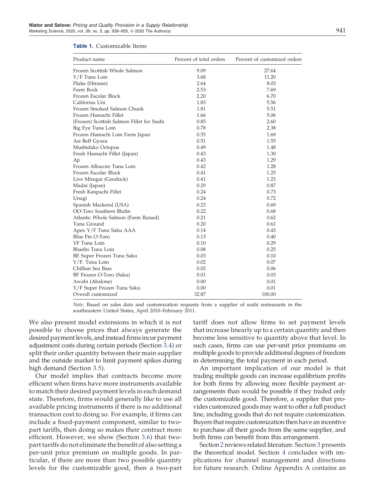| Frozen Scottish Whole Salmon<br>9.09<br>27.64<br>Y/F Tuna Loin<br>3.68<br>11.20<br>2.64<br>8.03<br>Fluke (Hirame)<br>2.53<br>7.69<br>Farm Rock<br>Frozen Escolar Block<br>2.20<br>6.70<br>1.83<br>5.56<br>California Uni<br>Frozen Smoked Salmon Chunk<br>1.81<br>5.51<br>Frozen Hamachi Fillet<br>1.66<br>5.06<br>(Frozen) Scottish Salmon Fillet for Sushi<br>0.85<br>2.60<br>0.78<br>2.38<br>Big Eye Tuna Loin<br>0.55<br>Frozen Hamachi Loin Farm Japan<br>1.69<br>0.51<br>Asi Beff Gyoza<br>1.55<br>Mushidako Octopus<br>0.49<br>1.48<br>Fresh Hamachi Fillet (Japan)<br>0.43<br>1.30<br>0.43<br>1.29<br>Aji<br>Frozen Albacore Tuna Loin<br>0.42<br>1.28<br>Frozen Escolar Block<br>0.41<br>1.25<br>0.41<br>1.23<br>Live Mirugai (Geoduck)<br>0.29<br>0.87<br>Madai (Japan)<br>0.24<br>0.73<br>Fresh Kanpachi Fillet<br>0.24<br>0.72<br>Unagi<br>Spanish Mackeral (USA)<br>0.23<br>0.69<br>OO-Toro Southern Blufin<br>0.22<br>0.68<br>0.21<br>0.62<br>Atlantic Whole Salmon (Farm Raised)<br>0.20<br>Tuna Ground<br>0.61<br>0.14<br>Apex Y/F Tuna Saku AAA<br>0.43<br><b>Blue Fin O-Toro</b><br>0.13<br>0.40<br>YF Tuna Loin<br>0.10<br>0.29<br>Bluefin Tuna Loin<br>0.08<br>0.25<br>BE Super Frozen Tuna Saku<br>0.03<br>0.10<br>0.02<br>0.07<br>Y/F. Tuna Loin<br>Chillian Sea Bass<br>0.02<br>0.06<br>BF Frozen O-Toro (Saku)<br>0.01<br>0.03<br>Awabi (Abalone)<br>0.00<br>0.01<br>Y/F Super Frozen Tuna Saku<br>0.01<br>0.00<br>Overall customized<br>32.87<br>100.00 | Product name | Percent of total orders | Percent of customized orders |
|----------------------------------------------------------------------------------------------------------------------------------------------------------------------------------------------------------------------------------------------------------------------------------------------------------------------------------------------------------------------------------------------------------------------------------------------------------------------------------------------------------------------------------------------------------------------------------------------------------------------------------------------------------------------------------------------------------------------------------------------------------------------------------------------------------------------------------------------------------------------------------------------------------------------------------------------------------------------------------------------------------------------------------------------------------------------------------------------------------------------------------------------------------------------------------------------------------------------------------------------------------------------------------------------------------------------------------------------------------------------------------------------------------------------------------------------------------------------------------|--------------|-------------------------|------------------------------|
|                                                                                                                                                                                                                                                                                                                                                                                                                                                                                                                                                                                                                                                                                                                                                                                                                                                                                                                                                                                                                                                                                                                                                                                                                                                                                                                                                                                                                                                                                  |              |                         |                              |
|                                                                                                                                                                                                                                                                                                                                                                                                                                                                                                                                                                                                                                                                                                                                                                                                                                                                                                                                                                                                                                                                                                                                                                                                                                                                                                                                                                                                                                                                                  |              |                         |                              |
|                                                                                                                                                                                                                                                                                                                                                                                                                                                                                                                                                                                                                                                                                                                                                                                                                                                                                                                                                                                                                                                                                                                                                                                                                                                                                                                                                                                                                                                                                  |              |                         |                              |
|                                                                                                                                                                                                                                                                                                                                                                                                                                                                                                                                                                                                                                                                                                                                                                                                                                                                                                                                                                                                                                                                                                                                                                                                                                                                                                                                                                                                                                                                                  |              |                         |                              |
|                                                                                                                                                                                                                                                                                                                                                                                                                                                                                                                                                                                                                                                                                                                                                                                                                                                                                                                                                                                                                                                                                                                                                                                                                                                                                                                                                                                                                                                                                  |              |                         |                              |
|                                                                                                                                                                                                                                                                                                                                                                                                                                                                                                                                                                                                                                                                                                                                                                                                                                                                                                                                                                                                                                                                                                                                                                                                                                                                                                                                                                                                                                                                                  |              |                         |                              |
|                                                                                                                                                                                                                                                                                                                                                                                                                                                                                                                                                                                                                                                                                                                                                                                                                                                                                                                                                                                                                                                                                                                                                                                                                                                                                                                                                                                                                                                                                  |              |                         |                              |
|                                                                                                                                                                                                                                                                                                                                                                                                                                                                                                                                                                                                                                                                                                                                                                                                                                                                                                                                                                                                                                                                                                                                                                                                                                                                                                                                                                                                                                                                                  |              |                         |                              |
|                                                                                                                                                                                                                                                                                                                                                                                                                                                                                                                                                                                                                                                                                                                                                                                                                                                                                                                                                                                                                                                                                                                                                                                                                                                                                                                                                                                                                                                                                  |              |                         |                              |
|                                                                                                                                                                                                                                                                                                                                                                                                                                                                                                                                                                                                                                                                                                                                                                                                                                                                                                                                                                                                                                                                                                                                                                                                                                                                                                                                                                                                                                                                                  |              |                         |                              |
|                                                                                                                                                                                                                                                                                                                                                                                                                                                                                                                                                                                                                                                                                                                                                                                                                                                                                                                                                                                                                                                                                                                                                                                                                                                                                                                                                                                                                                                                                  |              |                         |                              |
|                                                                                                                                                                                                                                                                                                                                                                                                                                                                                                                                                                                                                                                                                                                                                                                                                                                                                                                                                                                                                                                                                                                                                                                                                                                                                                                                                                                                                                                                                  |              |                         |                              |
|                                                                                                                                                                                                                                                                                                                                                                                                                                                                                                                                                                                                                                                                                                                                                                                                                                                                                                                                                                                                                                                                                                                                                                                                                                                                                                                                                                                                                                                                                  |              |                         |                              |
|                                                                                                                                                                                                                                                                                                                                                                                                                                                                                                                                                                                                                                                                                                                                                                                                                                                                                                                                                                                                                                                                                                                                                                                                                                                                                                                                                                                                                                                                                  |              |                         |                              |
|                                                                                                                                                                                                                                                                                                                                                                                                                                                                                                                                                                                                                                                                                                                                                                                                                                                                                                                                                                                                                                                                                                                                                                                                                                                                                                                                                                                                                                                                                  |              |                         |                              |
|                                                                                                                                                                                                                                                                                                                                                                                                                                                                                                                                                                                                                                                                                                                                                                                                                                                                                                                                                                                                                                                                                                                                                                                                                                                                                                                                                                                                                                                                                  |              |                         |                              |
|                                                                                                                                                                                                                                                                                                                                                                                                                                                                                                                                                                                                                                                                                                                                                                                                                                                                                                                                                                                                                                                                                                                                                                                                                                                                                                                                                                                                                                                                                  |              |                         |                              |
|                                                                                                                                                                                                                                                                                                                                                                                                                                                                                                                                                                                                                                                                                                                                                                                                                                                                                                                                                                                                                                                                                                                                                                                                                                                                                                                                                                                                                                                                                  |              |                         |                              |
|                                                                                                                                                                                                                                                                                                                                                                                                                                                                                                                                                                                                                                                                                                                                                                                                                                                                                                                                                                                                                                                                                                                                                                                                                                                                                                                                                                                                                                                                                  |              |                         |                              |
|                                                                                                                                                                                                                                                                                                                                                                                                                                                                                                                                                                                                                                                                                                                                                                                                                                                                                                                                                                                                                                                                                                                                                                                                                                                                                                                                                                                                                                                                                  |              |                         |                              |
|                                                                                                                                                                                                                                                                                                                                                                                                                                                                                                                                                                                                                                                                                                                                                                                                                                                                                                                                                                                                                                                                                                                                                                                                                                                                                                                                                                                                                                                                                  |              |                         |                              |
|                                                                                                                                                                                                                                                                                                                                                                                                                                                                                                                                                                                                                                                                                                                                                                                                                                                                                                                                                                                                                                                                                                                                                                                                                                                                                                                                                                                                                                                                                  |              |                         |                              |
|                                                                                                                                                                                                                                                                                                                                                                                                                                                                                                                                                                                                                                                                                                                                                                                                                                                                                                                                                                                                                                                                                                                                                                                                                                                                                                                                                                                                                                                                                  |              |                         |                              |
|                                                                                                                                                                                                                                                                                                                                                                                                                                                                                                                                                                                                                                                                                                                                                                                                                                                                                                                                                                                                                                                                                                                                                                                                                                                                                                                                                                                                                                                                                  |              |                         |                              |
|                                                                                                                                                                                                                                                                                                                                                                                                                                                                                                                                                                                                                                                                                                                                                                                                                                                                                                                                                                                                                                                                                                                                                                                                                                                                                                                                                                                                                                                                                  |              |                         |                              |
|                                                                                                                                                                                                                                                                                                                                                                                                                                                                                                                                                                                                                                                                                                                                                                                                                                                                                                                                                                                                                                                                                                                                                                                                                                                                                                                                                                                                                                                                                  |              |                         |                              |
|                                                                                                                                                                                                                                                                                                                                                                                                                                                                                                                                                                                                                                                                                                                                                                                                                                                                                                                                                                                                                                                                                                                                                                                                                                                                                                                                                                                                                                                                                  |              |                         |                              |
|                                                                                                                                                                                                                                                                                                                                                                                                                                                                                                                                                                                                                                                                                                                                                                                                                                                                                                                                                                                                                                                                                                                                                                                                                                                                                                                                                                                                                                                                                  |              |                         |                              |
|                                                                                                                                                                                                                                                                                                                                                                                                                                                                                                                                                                                                                                                                                                                                                                                                                                                                                                                                                                                                                                                                                                                                                                                                                                                                                                                                                                                                                                                                                  |              |                         |                              |
|                                                                                                                                                                                                                                                                                                                                                                                                                                                                                                                                                                                                                                                                                                                                                                                                                                                                                                                                                                                                                                                                                                                                                                                                                                                                                                                                                                                                                                                                                  |              |                         |                              |
|                                                                                                                                                                                                                                                                                                                                                                                                                                                                                                                                                                                                                                                                                                                                                                                                                                                                                                                                                                                                                                                                                                                                                                                                                                                                                                                                                                                                                                                                                  |              |                         |                              |
|                                                                                                                                                                                                                                                                                                                                                                                                                                                                                                                                                                                                                                                                                                                                                                                                                                                                                                                                                                                                                                                                                                                                                                                                                                                                                                                                                                                                                                                                                  |              |                         |                              |
|                                                                                                                                                                                                                                                                                                                                                                                                                                                                                                                                                                                                                                                                                                                                                                                                                                                                                                                                                                                                                                                                                                                                                                                                                                                                                                                                                                                                                                                                                  |              |                         |                              |
|                                                                                                                                                                                                                                                                                                                                                                                                                                                                                                                                                                                                                                                                                                                                                                                                                                                                                                                                                                                                                                                                                                                                                                                                                                                                                                                                                                                                                                                                                  |              |                         |                              |
|                                                                                                                                                                                                                                                                                                                                                                                                                                                                                                                                                                                                                                                                                                                                                                                                                                                                                                                                                                                                                                                                                                                                                                                                                                                                                                                                                                                                                                                                                  |              |                         |                              |
|                                                                                                                                                                                                                                                                                                                                                                                                                                                                                                                                                                                                                                                                                                                                                                                                                                                                                                                                                                                                                                                                                                                                                                                                                                                                                                                                                                                                                                                                                  |              |                         |                              |

#### <span id="page-4-0"></span>Table 1. Customizable Items

Note. Based on sales data and customization requests from a supplier of sushi restaurants in the southeastern United States, April 2010–February 2011.

We also present model extensions in which it is not possible to choose prices that always generate the desired payment levels, and instead firms incur payment adjustment costs during certain periods (Section [3.4](#page-11-0)) or split their order quantity between their main supplier and the outside market to limit payment spikes during high demand (Section [3.5](#page-13-0)).

Our model implies that contracts become more efficient when firms have more instruments available to match their desired payment levels in each demand state. Therefore, firms would generally like to use all available pricing instruments if there is no additional transaction cost to doing so. For example, if firms can include a fixed-payment component, similar to twopart tariffs, then doing so makes their contract more efficient. However, we show (Section [3.6](#page-14-0)) that twopart tariffs do not eliminate the benefit of also setting a per-unit price premium on multiple goods. In particular, if there are more than two possible quantity levels for the customizable good, then a two-part tariff does not allow firms to set payment levels that increase linearly up to a certain quantity and then become less sensitive to quantity above that level. In such cases, firms can use per-unit price premiums on multiple goods to provide additional degrees of freedom in determining the total payment in each period.

An important implication of our model is that trading multiple goods can increase equilibrium profits for both firms by allowing more flexible payment arrangements than would be possible if they traded only the customizable good. Therefore, a supplier that provides customized goods may want to offer a full product line, including goods that do not require customization. Buyers that require customization then have an incentive to purchase all their goods from the same supplier, and both firms can benefit from this arrangement.

Section [2](#page-5-0) reviews related literature. Section [3](#page-6-0) presents the theoretical model. Section [4](#page-15-0) concludes with implications for channel management and directions for future research. Online Appendix A contains an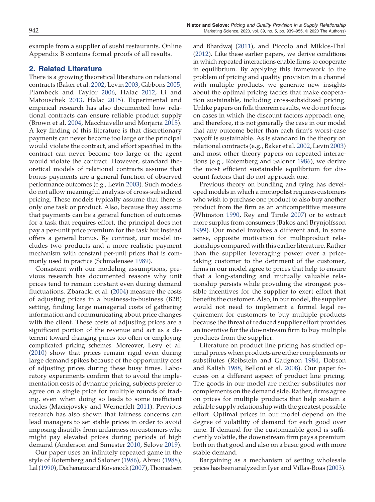example from a supplier of sushi restaurants. Online

### <span id="page-5-0"></span>2. Related Literature

There is a growing theoretical literature on relational contracts (Baker et al. [2002](#page-17-1), Levin [2003,](#page-17-7) Gibbons [2005](#page-17-8), Plambeck and Taylor [2006](#page-17-9), Halac [2012](#page-17-10), Li and Matouschek [2013,](#page-17-11) Halac [2015\)](#page-17-12). Experimental and empirical research has also documented how relational contracts can ensure reliable product supply (Brown et al. [2004,](#page-17-13) Macchiavello and Morjaria [2015\)](#page-17-14). A key finding of this literature is that discretionary payments can never become too large or the principal would violate the contract, and effort specified in the contract can never become too large or the agent would violate the contract. However, standard theoretical models of relational contracts assume that bonus payments are a general function of observed performance outcomes (e.g., Levin [2003\)](#page-17-7). Such models do not allow meaningful analysis of cross-subsidized pricing. These models typically assume that there is only one task or product. Also, because they assume that payments can be a general function of outcomes for a task that requires effort, the principal does not pay a per-unit price premium for the task but instead offers a general bonus. By contrast, our model includes two products and a more realistic payment mechanism with constant per-unit prices that is commonly used in practice (Schmalensee [1989\)](#page-17-15).

Consistent with our modeling assumptions, previous research has documented reasons why unit prices tend to remain constant even during demand fluctuations. Zbaracki et al. ([2004\)](#page-18-0) measure the costs of adjusting prices in a business-to-business (B2B) setting, finding large managerial costs of gathering information and communicating about price changes with the client. These costs of adjusting prices are a significant portion of the revenue and act as a deterrent toward changing prices too often or employing complicated pricing schemes. Moreover, Levy et al. ([2010\)](#page-17-2) show that prices remain rigid even during large demand spikes because of the opportunity cost of adjusting prices during these busy times. Laboratory experiments confirm that to avoid the implementation costs of dynamic pricing, subjects prefer to agree on a single price for multiple rounds of trading, even when doing so leads to some inefficient trades (Maciejovsky and Wernerfelt [2011](#page-17-3)). Previous research has also shown that fairness concerns can lead managers to set stable prices in order to avoid imposing disutilty from unfairness on customers who might pay elevated prices during periods of high demand (Anderson and Simester [2010](#page-17-4), Selove [2019\)](#page-17-5).

Our paper uses an infinitely repeated game in the style of Rotemberg and Saloner ([1986\)](#page-17-16), Abreu ([1988\)](#page-17-17), Lal ([1990](#page-17-18)), Dechenaux and Kovenock ([2007](#page-17-19)), Thomadsen

and Bhardwaj ([2011\)](#page-17-20), and Piccolo and Miklos-Thal ([2012\)](#page-17-21). Like these earlier papers, we derive conditions in which repeated interactions enable firms to cooperate in equilibrium. By applying this framework to the problem of pricing and quality provision in a channel with multiple products, we generate new insights about the optimal pricing tactics that make cooperation sustainable, including cross-subsidized pricing. Unlike papers on folk theorem results, we do not focus on cases in which the discount factors approach one, and therefore, it is not generally the case in our model that any outcome better than each firm's worst-case payoff is sustainable. As is standard in the theory on relational contracts (e.g., Baker et al. [2002,](#page-17-1) Levin [2003](#page-17-7)) and most other theory papers on repeated interactions (e.g., Rotemberg and Saloner [1986\)](#page-17-16), we derive the most efficient sustainable equilibrium for discount factors that do not approach one.

Previous theory on bundling and tying has developed models in which a monopolist requires customers who wish to purchase one product to also buy another product from the firm as an anticompetitive measure (Whinston [1990,](#page-18-1) Rey and Tirole [2007\)](#page-17-22) or to extract more surplus from consumers (Bakos and Brynjolfsson [1999](#page-17-23)). Our model involves a different and, in some sense, opposite motivation for multiproduct relationships compared with this earlier literature. Rather than the supplier leveraging power over a pricetaking customer to the detriment of the customer, firms in our model agree to prices that help to ensure that a long-standing and mutually valuable relationship persists while providing the strongest possible incentives for the supplier to exert effort that benefits the customer. Also, in our model, the supplier would not need to implement a formal legal requirement for customers to buy multiple products because the threat of reduced supplier effort provides an incentive for the downstream firm to buy multiple products from the supplier.

Literature on product line pricing has studied optimal prices when products are either complements or substitutes (Reibstein and Gatignon [1984,](#page-17-24) Dobson and Kalish [1988,](#page-17-25) Belloni et al. [2008](#page-17-26)). Our paper focuses on a different aspect of product line pricing. The goods in our model are neither substitutes nor complements on the demand side. Rather, firms agree on prices for multiple products that help sustain a reliable supply relationship with the greatest possible effort. Optimal prices in our model depend on the degree of volatility of demand for each good over time. If demand for the customizable good is sufficiently volatile, the downstream firm pays a premium both on that good and also on a basic good with more stable demand.

Bargaining as a mechanism of setting wholesale prices has been analyzed in Iyer and Villas-Boas ([2003\)](#page-17-0).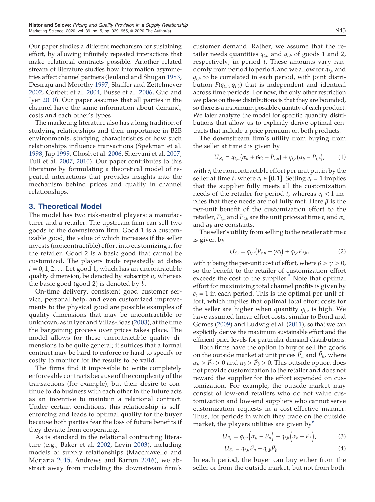Our paper studies a different mechanism for sustaining effort, by allowing infinitely repeated interactions that make relational contracts possible. Another related stream of literature studies how information asymmetries affect channel partners (Jeuland and Shugan [1983](#page-17-27), Desiraju and Moorthy [1997,](#page-17-28) Shaffer and Zettelmeyer [2002](#page-17-29), Corbett et al. [2004](#page-17-30), Busse et al. [2006,](#page-17-31) Guo and Iyer [2010](#page-17-32)). Our paper assumes that all parties in the channel have the same information about demand, costs and each other's types.

The marketing literature also has a long tradition of studying relationships and their importance in B2B environments, studying characteristics of how such relationships influence transactions (Spekman et al. [1998](#page-17-33), Jap [1999,](#page-17-34) Ghosh et al. [2006,](#page-17-35) Shervani et al. [2007](#page-17-36), Tuli et al. [2007](#page-18-2), [2010](#page-18-3)). Our paper contributes to this literature by formulating a theoretical model of repeated interactions that provides insights into the mechanism behind prices and quality in channel relationships.

#### <span id="page-6-0"></span>3. Theoretical Model

The model has two risk-neutral players: a manufacturer and a retailer. The upstream firm can sell two goods to the downstream firm. Good 1 is a customizable good, the value of which increases if the seller invests (noncontractible) effort into customizing it for the retailer. Good 2 is a basic good that cannot be customized. The players trade repeatedly at dates  $t = 0, 1, 2, \ldots$  Let good 1, which has an uncontractible quality dimension, be denoted by subscript  $u$ , whereas the basic good (good 2) is denoted by  $b$ .

On-time delivery, consistent good customer service, personal help, and even customized improvements to the physical good are possible examples of quality dimensions that may be uncontractible or unknown, as in Iyer and Villas-Boas ([2003\)](#page-17-0), at the time the bargaining process over prices takes place. The model allows for these uncontractible quality dimensions to be quite general; it suffices that a formal contract may be hard to enforce or hard to specify or costly to monitor for the results to be valid.

The firms find it impossible to write completely enforceable contracts because of the complexity of the transactions (for example), but their desire to continue to do business with each other in the future acts as an incentive to maintain a relational contract. Under certain conditions, this relationship is selfenforcing and leads to optimal quality for the buyer because both parties fear the loss of future benefits if they deviate from cooperating.

As is standard in the relational contracting literature (e.g., Baker et al. [2002,](#page-17-1) Levin [2003](#page-17-7)), including models of supply relationships (Macchiavello and Morjaria [2015,](#page-17-14) Andrews and Barron [2016](#page-17-37)), we abstract away from modeling the downstream firm's

customer demand. Rather, we assume that the retailer needs quantities  $q_{t,u}$  and  $q_{t,b}$  of goods 1 and 2, respectively, in period  $t$ . These amounts vary randomly from period to period, and we allow for  $q_{t,u}$  and  $q_{t,b}$  to be correlated in each period, with joint distribution  $F(q_{t,u}, q_{t,b})$  that is independent and identical across time periods. For now, the only other restriction we place on these distributions is that they are bounded, so there is a maximum possible quantity of each product. We later analyze the model for specific quantity distributions that allow us to explicitly derive optimal contracts that include a price premium on both products.

The downstream firm's utility from buying from the seller at time  $t$  is given by

$$
U_{R_t} = q_{t,u}(\alpha_u + \beta e_t - P_{t,u}) + q_{t,b}(\alpha_b - P_{t,b}), \qquad (1)
$$

with  $e_t$  the noncontractible effort per unit put in by the seller at time *t*, where  $e_t \in [0,1]$ . Setting  $e_t = 1$  implies that the supplier fully meets all the customization needs of the retailer for period t, whereas  $e_t < 1$  implies that these needs are not fully met. Here  $\beta$  is the per-unit benefit of the customization effort to the retailer,  $P_{t,u}$  and  $P_{t,b}$  are the unit prices at time  $t$ , and  $\alpha_u$ and  $\alpha_b$  are constants.

The seller's utility from selling to the retailer at time t is given by

$$
U_{S_t} = q_{t,u} (P_{t,u} - \gamma e_t) + q_{t,b} P_{t,b}, \qquad (2)
$$

with  $\gamma$  being the per-unit cost of effort, where  $\beta > \gamma > 0$ , so the benefit to the retailer of customization effort exceeds the cost to the supplier. $5$  Note that optimal effort for maximizing total channel profits is given by  $e_t = 1$  in each period. This is the optimal per-unit effort, which implies that optimal total effort costs for the seller are higher when quantity  $q_{t,u}$  is high. We have assumed linear effort costs, similar to Bond and Gomes ([2009\)](#page-17-38) and Ludwig et al. [\(2011](#page-17-39)), so that we can explicitly derive the maximum sustainable effort and the efficient price levels for particular demand distributions.

Both firms have the option to buy or sell the goods on the outside market at unit prices  $\bar{P}_u$  and  $\bar{P}_b$ , where  $\alpha_u > \bar{P_u} > 0$  and  $\alpha_b > \bar{P_b} > 0$ . This outside option does not provide customization to the retailer and does not reward the supplier for the effort expended on customization. For example, the outside market may consist of low-end retailers who do not value customization and low-end suppliers who cannot serve customization requests in a cost-effective manner. Thus, for periods in which they trade on the outside market, the players utilities are given by $<sup>6</sup>$  $<sup>6</sup>$  $<sup>6</sup>$ </sup>

$$
U_{R_t} = q_{t,u} \left( \alpha_u - \bar{P_u} \right) + q_{t,b} \left( \alpha_b - \bar{P_b} \right), \tag{3}
$$

$$
U_{S_t} = q_{t,u}\overline{P}_u + q_{t,b}\overline{P}_b.
$$
 (4)

In each period, the buyer can buy either from the seller or from the outside market, but not from both.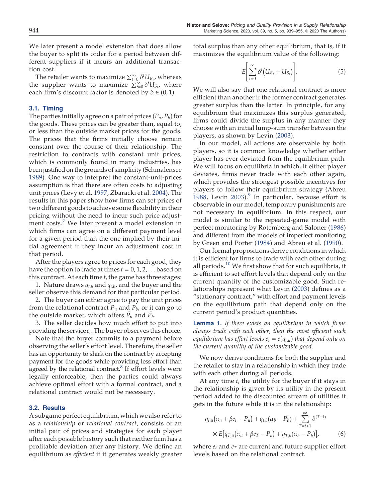We later present a model extension that does allow the buyer to split its order for a period between different suppliers if it incurs an additional transaction cost.

The retailer wants to maximize  $\sum_{t=0}^{\infty} \delta^t U_{R_t}$ , whereas the supplier wants to maximize  $\sum_{t=0}^{\infty} \delta^t U_{S_t}$ , where each firm's discount factor is denoted by  $\delta \in (0,1)$ .

#### 3.1. Timing

The parties initially agree on a pair of prices  $(P_u, P_b)$  for the goods. These prices can be greater than, equal to, or less than the outside market prices for the goods. The prices that the firms initially choose remain constant over the course of their relationship. The restriction to contracts with constant unit prices, which is commonly found in many industries, has been justified on the grounds of simplicity (Schmalensee [1989](#page-17-15)). One way to interpret the constant-unit-prices assumption is that there are often costs to adjusting unit prices (Levy et al. [1997](#page-17-40), Zbaracki et al. [2004\)](#page-18-0). The results in this paper show how firms can set prices of two different goods to achieve some flexibility in their pricing without the need to incur such price adjust-ment costs.<sup>[7](#page-16-6)</sup> We later present a model extension in which firms can agree on a different payment level for a given period than the one implied by their initial agreement if they incur an adjustment cost in that period.

After the players agree to prices for each good, they have the option to trade at times  $t = 0, 1, 2, \ldots$  based on this contract. At each time t, the game has three stages:

1. Nature draws  $q_{t,u}$  and  $q_{t,b}$ , and the buyer and the seller observe this demand for that particular period.

2. The buyer can either agree to pay the unit prices from the relational contract  $P_u$  and  $P_b$ , or it can go to the outside market, which offers  $\bar{P_u}$  and  $\bar{P_b}$ .

3. The seller decides how much effort to put into providing the service  $e_t$ . The buyer observes this choice.

Note that the buyer commits to a payment before observing the seller's effort level. Therefore, the seller has an opportunity to shirk on the contract by accepting payment for the goods while providing less effort than agreed by the relational contract. $8$  If effort levels were legally enforceable, then the parties could always achieve optimal effort with a formal contract, and a relational contract would not be necessary.

#### <span id="page-7-1"></span>3.2. Results

A subgame perfect equilibrium, which we also refer to as a relationship or relational contract, consists of an initial pair of prices and strategies for each player after each possible history such that neither firm has a profitable deviation after any history. We define an equilibrium as efficient if it generates weakly greater

total surplus than any other equilibrium, that is, if it maximizes the equilibrium value of the following:

$$
E\left[\sum_{t=0}^{\infty}\delta^{t}(U_{R_{t}}+U_{S_{t}})\right].
$$
\n(5)

We will also say that one relational contract is more efficient than another if the former contract generates greater surplus than the latter. In principle, for any equilibrium that maximizes this surplus generated, firms could divide the surplus in any manner they choose with an initial lump-sum transfer between the players, as shown by Levin ([2003\)](#page-17-7).

In our model, all actions are observable by both players, so it is common knowledge whether either player has ever deviated from the equilibrium path. We will focus on equilibria in which, if either player deviates, firms never trade with each other again, which provides the strongest possible incentives for players to follow their equilibrium strategy (Abreu [1988](#page-17-17), Levin [2003](#page-17-7)). $9$  In particular, because effort is observable in our model, temporary punishments are not necessary in equilibrium. In this respect, our model is similar to the repeated-game model with perfect monitoring by Rotemberg and Saloner ([1986](#page-17-16)) and different from the models of imperfect monitoring by Green and Porter ([1984](#page-17-41)) and Abreu et al. [\(1990](#page-17-42)).

Our formal propositions derive conditions in which it is efficient for firms to trade with each other during all periods.<sup>[10](#page-16-9)</sup> We first show that for such equilibria, it is efficient to set effort levels that depend only on the current quantity of the customizable good. Such relationships represent what Levin ([2003\)](#page-17-7) defines as a "stationary contract," with effort and payment levels on the equilibrium path that depend only on the current period's product quantities.

Lemma 1. If there exists an equilibrium in which firms always trade with each other, then the most efficient such equilibrium has effort levels  $e_t = e(q_{t,u})$  that depend only on the current quantity of the customizable good.

We now derive conditions for both the supplier and the retailer to stay in a relationship in which they trade with each other during all periods.

At any time *t*, the utility for the buyer if it stays in the relationship is given by its utility in the present period added to the discounted stream of utilities it gets in the future while it is in the relationship:

<span id="page-7-0"></span>
$$
q_{t,u}(\alpha_u + \beta e_t - P_u) + q_{t,b}(\alpha_b - P_b) + \sum_{T=t+1}^{\infty} \delta^{(T-t)} \times E[q_{T,u}(\alpha_u + \beta e_T - P_u) + q_{T,b}(\alpha_b - P_b)],
$$
 (6)

where  $e_t$  and  $e_T$  are current and future supplier effort levels based on the relational contract.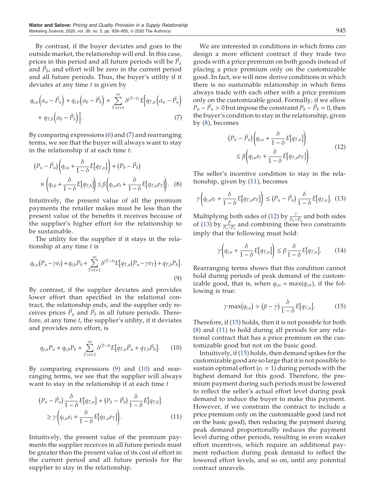By contrast, if the buyer deviates and goes to the outside market, the relationship will end. In this case, prices in this period and all future periods will be  $\bar{P_u}$ and  $\bar{P_b}$ , and effort will be zero in the current period and all future periods. Thus, the buyer's utility if it deviates at any time *t* is given by

<span id="page-8-0"></span>
$$
q_{t,u}\left(\alpha_u - \bar{P_u}\right) + q_{t,b}\left(\alpha_b - \bar{P_b}\right) + \sum_{T=t+1}^{\infty} \delta^{(T-t)} E\Big[q_{T,u}\Big(\alpha_u - \bar{P_u}\Big) + q_{T,b}\Big(\alpha_b - \bar{P_b}\Big)\Big].
$$
\n(7)

<span id="page-8-3"></span>By comparing expressions  $(6)$  $(6)$  $(6)$  and  $(7)$  $(7)$  and rearranging terms, we see that the buyer will always want to stay in the relationship if at each time  $t$ :

$$
(P_u - \bar{P}_u) \left( q_{t,u} + \frac{\delta}{1 - \delta} E[q_{T,u}] \right) + (P_b - \bar{P}_b)
$$
  
 
$$
\times \left( q_{t,b} + \frac{\delta}{1 - \delta} E[q_{T,b}] \right) \leq \beta \left( q_{t,u} e_t + \frac{\delta}{1 - \delta} E[q_{T,u} e_T] \right). \tag{8}
$$

Intuitively, the present value of all the premium payments the retailer makes must be less than the present value of the benefits it receives because of the supplier's higher effort for the relationship to be sustainable.

<span id="page-8-1"></span>The utility for the supplier if it stays in the relationship at any time  $t$  is

$$
q_{t,u}(P_u - \gamma e_t) + q_{t,b}P_b + \sum_{T=t+1}^{\infty} \delta^{(T-t)} E[q_{T,u}(P_u - \gamma e_T) + q_{T,b}P_b].
$$
\n(9)

By contrast, if the supplier deviates and provides lower effort than specified in the relational contract, the relationship ends, and the supplier only receives prices  $\bar{P_u}$  and  $\bar{P_b}$  in all future periods. Therefore, at any time *t*, the supplier's utility, if it deviates and provides zero effort, is

<span id="page-8-2"></span>
$$
q_{t,u}P_u + q_{t,b}P_b + \sum_{T=t+1}^{\infty} \delta^{(T-t)} E[q_{T,u}\bar{P}_u + q_{T,b}\bar{P}_b].
$$
 (10)

<span id="page-8-4"></span>By comparing expressions [\(9\)](#page-8-1) and ([10](#page-8-2)) and rearranging terms, we see that the supplier will always want to stay in the relationship if at each time  $t$ 

$$
(P_u - \bar{P_u}) \frac{\delta}{1 - \delta} E[q_{T,u}] + (P_b - \bar{P_b}) \frac{\delta}{1 - \delta} E[q_{T,b}]
$$
  
\n
$$
\ge \gamma \left( q_{t,u} e_t + \frac{\delta}{1 - \delta} E[q_{T,u} e_T] \right). \tag{11}
$$

Intuitively, the present value of the premium payments the supplier receives in all future periods must be greater than the present value of its cost of effort in the current period and all future periods for the supplier to stay in the relationship.

We are interested in conditions in which firms can design a more efficient contract if they trade two goods with a price premium on both goods instead of placing a price premium only on the customizable good. In fact, we will now derive conditions in which there is no sustainable relationship in which firms always trade with each other with a price premium only on the customizable good. Formally, if we allow  $P_u - \bar{P_u} > 0$  but impose the constraint  $P_b - \bar{P_b} = 0$ , then the buyer's condition to stay in the relationship, given by [\(8\)](#page-8-3), becomes

<span id="page-8-5"></span>
$$
(P_u - \bar{P_u})\left(q_{t,u} + \frac{\delta}{1-\delta}E[q_{T,u}]\right)
$$
  
\n
$$
\leq \beta \left(q_{t,u}e_t + \frac{\delta}{1-\delta}E[q_{T,u}e_T]\right).
$$
\n(12)

<span id="page-8-6"></span>The seller's incentive condition to stay in the relationship, given by ([11](#page-8-4)), becomes

$$
\gamma \left( q_{t,u} e_t + \frac{\delta}{1 - \delta} E \big[ q_{T,u} e_T \big] \right) \leq \left( P_u - \bar{P}_u \right) \frac{\delta}{1 - \delta} E \big[ q_{T,u} \big]. \tag{13}
$$

Multiplying both sides of ([12](#page-8-5)) by  $\frac{\gamma}{P_u - P_u}$  and both sides of ([13](#page-8-6)) by  $\frac{\beta}{P_u - P_u}$  and combining these two constraints imply that the following must hold:

$$
\gamma \left( q_{t,u} + \frac{\delta}{1 - \delta} E[q_{T,u}] \right) \le \beta \frac{\delta}{1 - \delta} E[q_{T,u}]. \tag{14}
$$

<span id="page-8-7"></span>Rearranging terms shows that this condition cannot hold during periods of peak demand of the customizable good, that is, when  $q_{t,u} = \max(q_{t,u})$ , if the following is true:

$$
\gamma \max(q_{t,u}) > (\beta - \gamma) \frac{\delta}{1 - \delta} E[q_{T,u}]. \tag{15}
$$

Therefore, if ([15](#page-8-7)) holds, then it is not possible for both ([8](#page-8-3)) and [\(11\)](#page-8-4) to hold during all periods for any relational contract that has a price premium on the customizable good but not on the basic good.

Intuitively, if ([15](#page-8-7)) holds, then demand spikes for the customizable good are so large that it is not possible to sustain optimal effort ( $e_t = 1$ ) during periods with the highest demand for this good. Therefore, the premium payment during such periods must be lowered to reflect the seller's actual effort level during peak demand to induce the buyer to make this payment. However, if we constrain the contract to include a price premium only on the customizable good (and not on the basic good), then reducing the payment during peak demand proportionally reduces the payment level during other periods, resulting in even weaker effort incentives, which require an additional payment reduction during peak demand to reflect the lowered effort levels, and so on, until any potential contract unravels.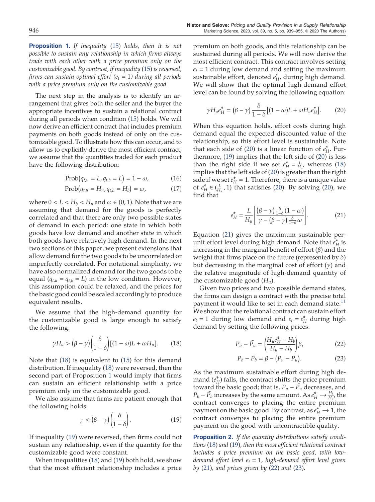<span id="page-9-1"></span>**Proposition 1.** If inequality [\(15](#page-8-7)) holds, then it is not possible to sustain any relationship in which firms always trade with each other with a price premium only on the customizable good. By contrast, if inequality [\(15](#page-8-7)) is reversed, firms can sustain optimal effort ( $e_t = 1$ ) during all periods with a price premium only on the customizable good.

The next step in the analysis is to identify an arrangement that gives both the seller and the buyer the appropriate incentives to sustain a relational contract during all periods when condition [\(15](#page-8-7)) holds. We will now derive an efficient contract that includes premium payments on both goods instead of only on the customizable good. To illustrate how this can occur, and to allow us to explicitly derive the most efficient contract, we assume that the quantities traded for each product have the following distribution:

$$
Prob(q_{t,u} = L, q_{t,b} = L) = 1 - \omega,
$$
 (16)

$$
Prob(q_{t,u} = H_u, q_{t,b} = H_b) = \omega,
$$
\n(17)

where  $0 < L < H_b < H_u$  and  $\omega \in (0, 1)$ . Note that we are assuming that demand for the goods is perfectly correlated and that there are only two possible states of demand in each period: one state in which both goods have low demand and another state in which both goods have relatively high demand. In the next two sections of this paper, we present extensions that allow demand for the two goods to be uncorrelated or imperfectly correlated. For notational simplicity, we have also normalized demand for the two goods to be equal ( $q_{t,u} = q_{t,b} = L$ ) in the low condition. However, this assumption could be relaxed, and the prices for the basic good could be scaled accordingly to produce equivalent results.

<span id="page-9-0"></span>We assume that the high-demand quantity for the customizable good is large enough to satisfy the following:

$$
\gamma H_u > (\beta - \gamma) \left(\frac{\delta}{1 - \delta}\right) [(1 - \omega)L + \omega H_u]. \tag{18}
$$

Note that [\(18\)](#page-9-0) is equivalent to ([15](#page-8-7)) for this demand distribution. If inequality ([18](#page-9-0)) were reversed, then the second part of Proposition [1](#page-9-1) would imply that firms can sustain an efficient relationship with a price premium only on the customizable good.

<span id="page-9-2"></span>We also assume that firms are patient enough that the following holds:

$$
\gamma < \left(\beta - \gamma\right) \left(\frac{\delta}{1 - \delta}\right). \tag{19}
$$

If inequality ([19](#page-9-2)) were reversed, then firms could not sustain any relationship, even if the quantity for the customizable good were constant.

When inequalities ([18](#page-9-0)) and [\(19\)](#page-9-2) both hold, we show that the most efficient relationship includes a price

premium on both goods, and this relationship can be sustained during all periods. We will now derive the most efficient contract. This contract involves setting  $e_t = 1$  during low demand and setting the maximum sustainable effort, denoted  $e_H^*$ , during high demand. We will show that the optimal high-demand effort level can be found by solving the following equation:

<span id="page-9-3"></span>
$$
\gamma H_u e_H^* = (\beta - \gamma) \frac{\delta}{1 - \delta} \left[ (1 - \omega)L + \omega H_u e_H^* \right]. \tag{20}
$$

When this equation holds, effort costs during high demand equal the expected discounted value of the relationship, so this effort level is sustainable. Note that each side of ([20\)](#page-9-3) is a linear function of  $e_H^*$ . Furthermore, ([19](#page-9-2)) implies that the left side of [\(20\)](#page-9-3) is less than the right side if we set  $e_H^* = \frac{L}{H_u}$ , whereas ([18](#page-9-0)) implies that the left side of ([20](#page-9-3)) is greater than the right side if we set  $e_H^* = 1$ . Therefore, there is a unique value of  $e_H^* \in (\frac{L}{H_u}, 1)$  that satisfies ([20](#page-9-3)). By solving ([20\)](#page-9-3), we find that

<span id="page-9-4"></span>
$$
e_H^* = \frac{L}{H_u} \left[ \frac{(\beta - \gamma) \frac{\delta}{1 - \delta} (1 - \omega)}{\gamma - (\beta - \gamma) \frac{\delta}{1 - \delta} \omega} \right].
$$
 (21)

Equation [\(21\)](#page-9-4) gives the maximum sustainable perunit effort level during high demand. Note that  $e_H^*$  is increasing in the marginal benefit of effort  $(\beta)$  and the weight that firms place on the future (represented by  $\delta$ ) but decreasing in the marginal cost of effort  $(y)$  and the relative magnitude of high-demand quantity of the customizable good  $(H_u)$ .

<span id="page-9-5"></span>Given two prices and two possible demand states, the firms can design a contract with the precise total payment it would like to set in each demand state. $^{\rm 11}$  $^{\rm 11}$  $^{\rm 11}$ We show that the relational contract can sustain effort  $e_t = 1$  during low demand and  $e_t = e_H^*$  during high demand by setting the following prices:

$$
P_u - \bar{P_u} = \left(\frac{H_u e_H^* - H_b}{H_u - H_b}\right) \beta,\tag{22}
$$

$$
P_b - \bar{P_b} = \beta - (P_u - \bar{P_u}).\tag{23}
$$

<span id="page-9-6"></span>As the maximum sustainable effort during high demand  $(e_H^*)$  falls, the contract shifts the price premium toward the basic good; that is,  $P_u - \bar{P_u}$  decreases, and  $P_b - \bar{P_b}$  increases by the same amount. As  $e_H^* \rightarrow \frac{H_b}{H_{u'}}$  the contract converges to placing the entire premium payment on the basic good. By contrast, as  $e_H^* \to 1$ , the contract converges to placing the entire premium payment on the good with uncontractible quality.

<span id="page-9-7"></span>**Proposition 2.** If the quantity distributions satisfy conditions [\(18](#page-9-0)) and ([19\)](#page-9-2), then the most efficient relational contract includes a price premium on the basic good, with lowdemand effort level  $e_t = 1$ , high-demand effort level given by  $(21)$  $(21)$ , and prices given by  $(22)$  $(22)$  and  $(23)$  $(23)$ .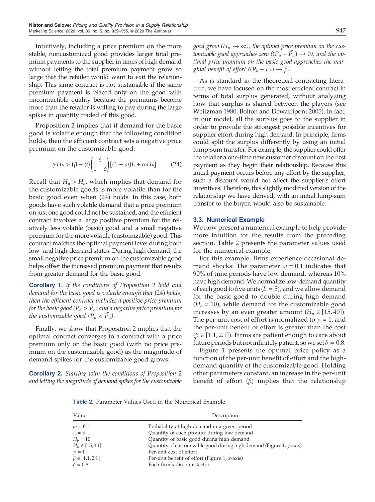Intuitively, including a price premium on the more stable, noncustomized good provides larger total premium payments to the supplier in times of high demand without letting the total premium payment grow so large that the retailer would want to exit the relationship. This same contract is not sustainable if the same premium payment is placed only on the good with uncontractible quality because the premiums become more than the retailer is willing to pay during the large spikes in quantity traded of this good.

<span id="page-10-0"></span>Proposition [2](#page-9-7) implies that if demand for the basic good is volatile enough that the following condition holds, then the efficient contract sets a negative price premium on the customizable good:

$$
\gamma H_b > (\beta - \gamma) \left(\frac{\delta}{1 - \delta}\right) [(1 - \omega)L + \omega H_b]. \tag{24}
$$

Recall that  $H_u > H_b$ , which implies that demand for the customizable goods is more volatile than for the basic good even when [\(24\)](#page-10-0) holds. In this case, both goods have such volatile demand that a price premium on just one good could not be sustained, and the efficient contract involves a large positive premium for the relatively less volatile (basic) good and a small negative premium for the more volatile (customizable) good. This contract matches the optimal payment level during both low- and high-demand states. During high demand, the small negative price premium on the customizable good helps offset the increased premium payment that results from greater demand for the basic good.

<span id="page-10-2"></span>Corollary 1. If the conditions of Proposition [2](#page-9-7) hold and demand for the basic good is volatile enough that [\(24](#page-10-0)) holds, then the efficient contract includes a positive price premium for the basic good (P $_b > \bar{P_b}$ ) and a negative price premium for the customizable good ( $P_u < \bar{P_u}$ ).

Finally, we show that Proposition [2](#page-9-7) implies that the optimal contract converges to a contract with a price premium only on the basic good (with no price premium on the customizable good) as the magnitude of demand spikes for the customizable good grows.

Corollary 2. Starting with the conditions of Proposition [2](#page-9-7) and letting the magnitude of demand spikes for the customizable good grow ( $H_u \rightarrow \infty$ ), the optimal price premium on the customizable good approaches zero  $((P_u - \overline{P}_u) \rightarrow 0)$ , and the optimal price premium on the basic good approaches the marginal benefit of effort  $((P_b - \bar{P}_b) \rightarrow \beta)$ .

As is standard in the theoretical contracting literature, we have focused on the most efficient contract in terms of total surplus generated, without analyzing how that surplus is shared between the players (see Weitzman [1980,](#page-18-4) Bolton and Dewatripont [2005\)](#page-17-43). In fact, in our model, all the surplus goes to the supplier in order to provide the strongest possible incentives for supplier effort during high demand. In principle, firms could split the surplus differently by using an initial lump-sum transfer. For example, the supplier could offer the retailer a one-time new customer discount on the first payment as they begin their relationship. Because this initial payment occurs before any effort by the supplier, such a discount would not affect the supplier's effort incentives. Therefore, this slightly modified version of the relationship we have derived, with an initial lump-sum transfer to the buyer, would also be sustainable.

#### <span id="page-10-3"></span>3.3. Numerical Example

We now present a numerical example to help provide more intuition for the results from the preceding section. Table [2](#page-10-1) presents the parameter values used for the numerical example.

For this example, firms experience occasional demand shocks: The parameter  $\omega = 0.1$  indicates that 90% of time periods have low demand, whereas 10% have high demand. We normalize low-demand quantity of each good to five units  $(L = 5)$ , and we allow demand for the basic good to double during high demand  $(H_b = 10)$ , while demand for the customizable good increases by an even greater amount  $(H_u \in [15, 40])$ . The per-unit cost of effort is normalized to  $\gamma = 1$ , and the per-unit benefit of effort is greater than the cost  $(β ∈ [1.1, 2.1])$ . Firms are patient enough to care about future periods but not infinitely patient, so we set  $\delta = 0.8$ .

Figure [1](#page-11-1) presents the optimal price policy as a function of the per-unit benefit of effort and the highdemand quantity of the customizable good. Holding other parameters constant, an increase in the per-unit benefit of effort (β) implies that the relationship

<span id="page-10-1"></span>Table 2. Parameter Values Used in the Numerical Example

| Value                                                                                                                | Description                                                                                                                                                                                                                                                                                                                  |
|----------------------------------------------------------------------------------------------------------------------|------------------------------------------------------------------------------------------------------------------------------------------------------------------------------------------------------------------------------------------------------------------------------------------------------------------------------|
| $\omega = 0.1$<br>$L=5$<br>$H_h = 10$<br>$H_u \in [15, 40]$<br>$\nu = 1$<br>$\beta \in [1.1, 2.1]$<br>$\delta = 0.8$ | Probability of high demand in a given period<br>Quantity of each product during low demand<br>Quantity of basic good during high demand<br>Quantity of customizable good during high demand (Figure 1, y-axis)<br>Per-unit cost of effort<br>Per-unit benefit of effort (Figure 1, $x$ -axis)<br>Each firm's discount factor |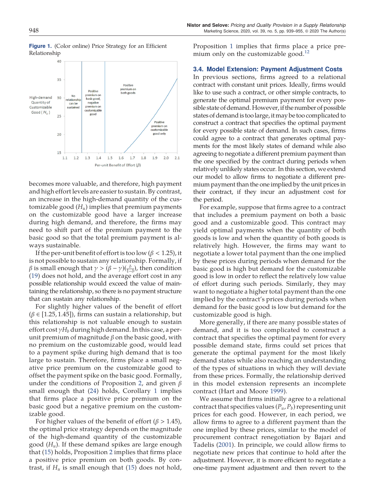

<span id="page-11-1"></span>**Figure 1.** (Color online) Price Strategy for an Efficient Relationship

becomes more valuable, and therefore, high payment and high effort levels are easier to sustain. By contrast, an increase in the high-demand quantity of the customizable good  $(H_u)$  implies that premium payments on the customizable good have a larger increase during high demand, and therefore, the firms may need to shift part of the premium payment to the basic good so that the total premium payment is always sustainable.

If the per-unit benefit of effort is too low ( $\beta$  < 1.25), it is not possible to sustain any relationship. Formally, if β is small enough that  $\gamma > (\beta - \gamma)(\frac{\delta}{1-\delta})$ , then condition ([19](#page-9-2)) does not hold, and the average effort cost in any possible relationship would exceed the value of maintaining the relationship, so there is no payment structure that can sustain any relationship.

For slightly higher values of the benefit of effort  $(\beta \in [1.25, 1.45])$ , firms can sustain a relationship, but this relationship is not valuable enough to sustain effort cost  $\gamma H_b$  during high demand. In this case, a perunit premium of magnitude  $\beta$  on the basic good, with no premium on the customizable good, would lead to a payment spike during high demand that is too large to sustain. Therefore, firms place a small negative price premium on the customizable good to offset the payment spike on the basic good. Formally, under the conditions of Proposition [2](#page-9-7), and given  $\beta$ small enough that [\(24\)](#page-10-0) holds, Corollary [1](#page-10-2) implies that firms place a positive price premium on the basic good but a negative premium on the customizable good.

For higher values of the benefit of effort ( $\beta$  > 1.45), the optimal price strategy depends on the magnitude of the high-demand quantity of the customizable good  $(H_u)$ . If these demand spikes are large enough that ([15\)](#page-8-7) holds, Proposition [2](#page-9-7) implies that firms place a positive price premium on both goods. By contrast, if  $H_u$  is small enough that ([15](#page-8-7)) does not hold,

Proposition [1](#page-9-1) implies that firms place a price premium only on the customizable good. $^{12}$  $^{12}$  $^{12}$ 

#### <span id="page-11-0"></span>3.4. Model Extension: Payment Adjustment Costs

In previous sections, firms agreed to a relational contract with constant unit prices. Ideally, firms would like to use such a contract, or other simple contracts, to generate the optimal premium payment for every possible state of demand. However, if the number of possible states of demand is too large, it may be too complicated to construct a contract that specifies the optimal payment for every possible state of demand. In such cases, firms could agree to a contract that generates optimal payments for the most likely states of demand while also agreeing to negotiate a different premium payment than the one specified by the contract during periods when relatively unlikely states occur. In this section, we extend our model to allow firms to negotiate a different premium payment than the one implied by the unit prices in their contract, if they incur an adjustment cost for the period.

For example, suppose that firms agree to a contract that includes a premium payment on both a basic good and a customizable good. This contract may yield optimal payments when the quantity of both goods is low and when the quantity of both goods is relatively high. However, the firms may want to negotiate a lower total payment than the one implied by these prices during periods when demand for the basic good is high but demand for the customizable good is low in order to reflect the relatively low value of effort during such periods. Similarly, they may want to negotiate a higher total payment than the one implied by the contract's prices during periods when demand for the basic good is low but demand for the customizable good is high.

More generally, if there are many possible states of demand, and it is too complicated to construct a contract that specifies the optimal payment for every possible demand state, firms could set prices that generate the optimal payment for the most likely demand states while also reaching an understanding of the types of situations in which they will deviate from these prices. Formally, the relationship derived in this model extension represents an incomplete contract (Hart and Moore [1999](#page-17-44)).

We assume that firms initially agree to a relational contract that specifies values  $(P_u, P_b)$  representing unit prices for each good. However, in each period, we allow firms to agree to a different payment than the one implied by these prices, similar to the model of procurement contract renegotiation by Bajari and Tadelis ([2001\)](#page-17-45). In principle, we could allow firms to negotiate new prices that continue to hold after the adjustment. However, it is more efficient to negotiate a one-time payment adjustment and then revert to the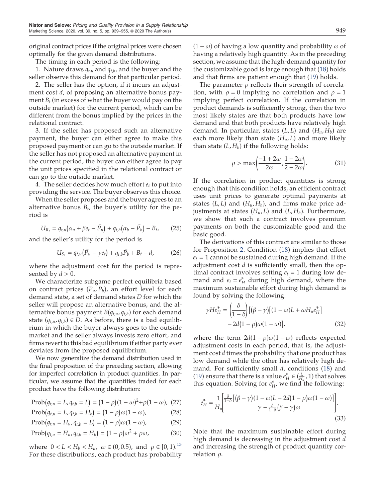original contract prices if the original prices were chosen optimally for the given demand distributions.

The timing in each period is the following:

1. Nature draws  $q_{t,u}$  and  $q_{t,b}$ , and the buyer and the seller observe this demand for that particular period.

2. The seller has the option, if it incurs an adjustment cost *d*, of proposing an alternative bonus payment  $B_t$  (in excess of what the buyer would pay on the outside market) for the current period, which can be different from the bonus implied by the prices in the relational contract.

3. If the seller has proposed such an alternative payment, the buyer can either agree to make this proposed payment or can go to the outside market. If the seller has not proposed an alternative payment in the current period, the buyer can either agree to pay the unit prices specified in the relational contract or can go to the outside market.

4. The seller decides how much effort  $e_t$  to put into providing the service. The buyer observes this choice.

When the seller proposes and the buyer agrees to an alternative bonus  $B_t$ , the buyer's utility for the period is

$$
U_{R_t} = q_{t,u} \left( \alpha_u + \beta e_t - \overline{P}_u \right) + q_{t,b} \left( \alpha_b - \overline{P}_b \right) - B_t, \qquad (25)
$$

and the seller's utility for the period is

$$
U_{S_t} = q_{t,u}(\bar{P_u} - \gamma e_t) + q_{t,b}\bar{P_b} + B_t - d, \qquad (26)
$$

where the adjustment cost for the period is represented by  $d > 0$ .

We characterize subgame perfect equilibria based on contract prices  $(P_u, P_b)$ , an effort level for each demand state, a set of demand states D for which the seller will propose an alternative bonus, and the alternative bonus payment  $B(q_{t,u}, q_{t,b})$  for each demand state  $(q_{t,u}, q_{t,b}) \in D$ . As before, there is a bad equilibrium in which the buyer always goes to the outside market and the seller always invests zero effort, and firms revert to this bad equilibrium if either party ever deviates from the proposed equilibrium.

We now generalize the demand distribution used in the final proposition of the preceding section, allowing for imperfect correlation in product quantities. In particular, we assume that the quantities traded for each product have the following distribution:

<span id="page-12-2"></span>
$$
Prob(q_{t,u} = L, q_{t,b} = L) = (1 - \rho)(1 - \omega)^{2} + \rho(1 - \omega), (27)
$$

$$
Prob(q_{t,u} = L, q_{t,b} = H_b) = (1 - \rho)\omega(1 - \omega),
$$
 (28)

<span id="page-12-3"></span>
$$
Prob(q_{t,u} = H_u, q_{t,b} = L) = (1 - \rho)\omega(1 - \omega), \qquad (29)
$$

$$
Prob(q_{t,u} = H_u, q_{t,b} = H_b) = (1 - \rho)\omega^2 + \rho\omega,
$$
 (30)

where  $0 < L < H_b < H_u$ ,  $\omega \in (0, 0.5)$ , and  $\rho \in [0, 1)$ .<sup>[13](#page-16-12)</sup> For these distributions, each product has probability

 $(1 - \omega)$  of having a low quantity and probability  $\omega$  of having a relatively high quantity. As in the preceding section, we assume that the high-demand quantity for the customizable good is large enough that ([18](#page-9-0)) holds and that firms are patient enough that ([19](#page-9-2)) holds.

The parameter  $\rho$  reflects their strength of correlation, with  $\rho = 0$  implying no correlation and  $\rho = 1$ implying perfect correlation. If the correlation in product demands is sufficiently strong, then the two most likely states are that both products have low demand and that both products have relatively high demand. In particular, states  $(L, L)$  and  $(H_u, H_b)$  are each more likely than state  $(H_u, L)$  and more likely than state  $(L, H_b)$  if the following holds:

$$
\rho > \max\left(\frac{-1 + 2\omega}{2\omega}, \frac{1 - 2\omega}{2 - 2\omega}\right).
$$
 (31)

<span id="page-12-0"></span>If the correlation in product quantities is strong enough that this condition holds, an efficient contract uses unit prices to generate optimal payments at states  $(L, L)$  and  $(H_u, H_b)$ , and firms make price adjustments at states  $(H_u, L)$  and  $(L, H_b)$ . Furthermore, we show that such a contract involves premium payments on both the customizable good and the basic good.

The derivations of this contract are similar to those for Proposition [2.](#page-9-7) Condition ([18](#page-9-0)) implies that effort  $e_t = 1$  cannot be sustained during high demand. If the adjustment cost  $d$  is sufficiently small, then the optimal contract involves setting  $e_t = 1$  during low demand and  $e_t = e_H^*$  during high demand, where the maximum sustainable effort during high demand is found by solving the following:

$$
\gamma He_H^* = \left(\frac{\delta}{1-\delta}\right) \left[ (\beta - \gamma) \left[ (1-\omega)L + \omega H_u e_H^* \right] - 2d(1-\rho)\omega(1-\omega) \right],\tag{32}
$$

where the term  $2d(1 - \rho)\omega(1 - \omega)$  reflects expected adjustment costs in each period, that is, the adjustment cost *d* times the probability that one product has low demand while the other has relatively high demand. For sufficiently small  $d$ , conditions ([18\)](#page-9-0) and ([19](#page-9-2)) ensure that there is a value  $e_H^* \in (\frac{L}{H_u}, 1)$  that solves this equation. Solving for  $e_H^*$ , we find the following:

<span id="page-12-1"></span>
$$
e_H^* = \frac{1}{H_u} \left[ \frac{\frac{\delta}{1-\delta} \left[ (\beta - \gamma)(1 - \omega)L - 2d(1 - \rho)\omega(1 - \omega) \right]}{\gamma - \frac{\delta}{1-\delta} (\beta - \gamma)\omega} \right].
$$
\n(33)

Note that the maximum sustainable effort during high demand is decreasing in the adjustment cost d and increasing the strength of product quantity correlation  $\rho$ .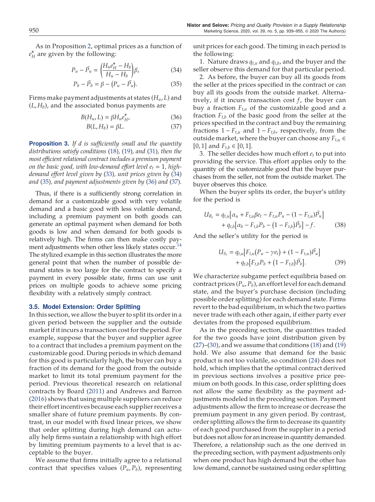<span id="page-13-1"></span>As in Proposition [2](#page-9-7), optimal prices as a function of  $e_H^*$  are given by the following:

$$
P_u - \bar{P_u} = \left(\frac{H_u e_H^* - H_b}{H_u - H_b}\right) \beta,\tag{34}
$$

$$
P_b - \bar{P_b} = \beta - (P_u - \bar{P_u}).
$$
\n(35)

<span id="page-13-4"></span><span id="page-13-3"></span><span id="page-13-2"></span>Firms make payment adjustments at states  $(H_u, L)$  and  $(L, H_b)$ , and the associated bonus payments are

$$
B(H_u, L) = \beta H_u e_H^*,\tag{36}
$$

$$
B(L, H_b) = \beta L. \tag{37}
$$

<span id="page-13-5"></span>**Proposition 3.** If d is sufficiently small and the quantity distributions satisfy conditions ([18\)](#page-9-0), [\(19](#page-9-2)), and ([31\)](#page-12-0), then the most efficient relational contract includes a premium payment on the basic good, with low-demand effort level  $e_t = 1$ , highdemand effort level given by [\(33\)](#page-12-1), unit prices given by [\(34](#page-13-1)) and [\(35](#page-13-2)), and payment adjustments given by [\(36](#page-13-3)) and ([37\)](#page-13-4).

Thus, if there is a sufficiently strong correlation in demand for a customizable good with very volatile demand and a basic good with less volatile demand, including a premium payment on both goods can generate an optimal payment when demand for both goods is low and when demand for both goods is relatively high. The firms can then make costly pay-ment adjustments when other less likely states occur.<sup>[14](#page-16-13)</sup> The stylized example in this section illustrates the more general point that when the number of possible demand states is too large for the contract to specify a payment in every possible state, firms can use unit prices on multiple goods to achieve some pricing flexibility with a relatively simply contract.

#### <span id="page-13-0"></span>3.5. Model Extension: Order Splitting

In this section, we allow the buyer to split its order in a given period between the supplier and the outside market if it incurs a transaction cost for the period. For example, suppose that the buyer and supplier agree to a contract that includes a premium payment on the customizable good. During periods in which demand for this good is particularly high, the buyer can buy a fraction of its demand for the good from the outside market to limit its total premium payment for the period. Previous theoretical research on relational contracts by Board ([2011](#page-17-46)) and Andrews and Barron ([2016\)](#page-17-37) shows that using multiple suppliers can reduce their effort incentives because each supplier receives a smaller share of future premium payments. By contrast, in our model with fixed linear prices, we show that order splitting during high demand can actually help firms sustain a relationship with high effort by limiting premium payments to a level that is acceptable to the buyer.

We assume that firms initially agree to a relational contract that specifies values  $(P_u, P_b)$ , representing unit prices for each good. The timing in each period is the following:

1. Nature draws  $q_{t,u}$  and  $q_{t,b}$ , and the buyer and the seller observe this demand for that particular period.

2. As before, the buyer can buy all its goods from the seller at the prices specified in the contract or can buy all its goods from the outside market. Alternatively, if it incurs transaction cost  $f$ , the buyer can buy a fraction  $F_{t,u}$  of the customizable good and a fraction  $F_{t,b}$  of the basic good from the seller at the prices specified in the contract and buy the remaining fractions  $1 - F_{t,u}$  and  $1 - F_{t,b}$ , respectively, from the outside market, where the buyer can choose any  $F_{t,u} \in$ [0, 1] and  $F_{t,b} \in [0, 1]$ .

3. The seller decides how much effort  $e_t$  to put into providing the service. This effort applies only to the quantity of the customizable good that the buyer purchases from the seller, not from the outside market. The buyer observes this choice.

When the buyer splits its order, the buyer's utility for the period is

$$
U_{R_t} = q_{t,u} [\alpha_u + F_{t,u} \beta e_t - F_{t,u} P_u - (1 - F_{t,u}) \bar{P}_u] + q_{t,b} [\alpha_b - F_{t,b} P_b - (1 - F_{t,b}) \bar{P}_b] - f.
$$
 (38)

And the seller's utility for the period is

$$
U_{S_t} = q_{t,u} [F_{t,u}(P_u - \gamma e_t) + (1 - F_{t,u})\bar{P}_u] + q_{t,b} [F_{t,b}P_b + (1 - F_{t,b})\bar{P}_b].
$$
 (39)

We characterize subgame perfect equilibria based on contract prices  $(P_u, P_b)$ , an effort level for each demand state, and the buyer's purchase decision (including possible order splitting) for each demand state. Firms revert to the bad equilibrium, in which the two parties never trade with each other again, if either party ever deviates from the proposed equilibrium.

As in the preceding section, the quantities traded for the two goods have joint distribution given by ([27](#page-12-2))–([30](#page-12-3)), and we assume that conditions ([18](#page-9-0)) and ([19](#page-9-2)) hold. We also assume that demand for the basic product is not too volatile, so condition ([24](#page-10-0)) does not hold, which implies that the optimal contract derived in previous sections involves a positive price premium on both goods. In this case, order splitting does not allow the same flexibility as the payment adjustments modeled in the preceding section. Payment adjustments allow the firm to increase or decrease the premium payment in any given period. By contrast, order splitting allows the firm to decrease its quantity of each good purchased from the supplier in a period but does not allow for an increase in quantity demanded. Therefore, a relationship such as the one derived in the preceding section, with payment adjustments only when one product has high demand but the other has low demand, cannot be sustained using order splitting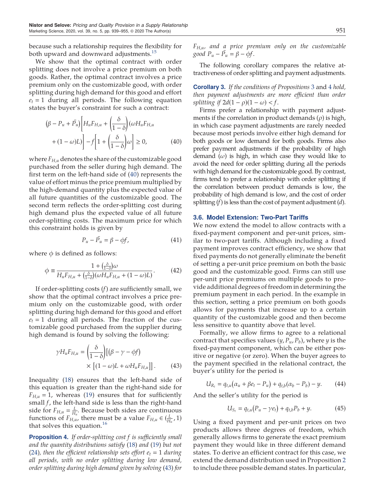because such a relationship requires the flexibility for both upward and downward adjustments.<sup>[15](#page-16-14)</sup>

We show that the optimal contract with order splitting does not involve a price premium on both goods. Rather, the optimal contract involves a price premium only on the customizable good, with order splitting during high demand for this good and effort  $e_t = 1$  during all periods. The following equation states the buyer's constraint for such a contract:

<span id="page-14-1"></span>
$$
(\beta - P_u + \bar{P}_u) \bigg[ H_u F_{H,u} + \left( \frac{\delta}{1 - \delta} \right) (\omega H_u F_{H,u} + (1 - \omega)L) \bigg] - f \bigg[ 1 + \left( \frac{\delta}{1 - \delta} \right) \omega \bigg] \ge 0,
$$
 (40)

where  $F_{H,\mu}$  denotes the share of the customizable good purchased from the seller during high demand. The first term on the left-hand side of ([40](#page-14-1)) represents the value of effort minus the price premium multiplied by the high-demand quantity plus the expected value of all future quantities of the customizable good. The second term reflects the order-splitting cost during high demand plus the expected value of all future order-splitting costs. The maximum price for which this constraint holds is given by

$$
P_u - \bar{P_u} = \beta - \phi f,\tag{41}
$$

where  $\phi$  is defined as follows:

$$
\phi \equiv \frac{1 + \left(\frac{\delta}{1 - \delta}\right)\omega}{H_u F_{H,u} + \left(\frac{\delta}{1 - \delta}\right)(\omega H_u F_{H,u} + (1 - \omega)L)}.\tag{42}
$$

If order-splitting costs  $(f)$  are sufficiently small, we show that the optimal contract involves a price premium only on the customizable good, with order splitting during high demand for this good and effort  $e_t = 1$  during all periods. The fraction of the customizable good purchased from the supplier during high demand is found by solving the following:

<span id="page-14-2"></span>
$$
\gamma H_u F_{H,u} = \left(\frac{\delta}{1-\delta}\right) \left[ (\beta - \gamma - \phi f) \times \left[ (1-\omega)L + \omega H_u F_{H,u} \right] \right].
$$
 (43)

Inequality ([18](#page-9-0)) ensures that the left-hand side of this equation is greater than the right-hand side for  $F_{H,\mu}$  = 1, whereas ([19](#page-9-2)) ensures that for sufficiently small  $f$ , the left-hand side is less than the right-hand side for  $F_{H,\mu} = \frac{L}{H_u}$ . Because both sides are continuous functions of  $F_{H,u}$ , there must be a value  $F_{H,u} \in (\frac{L}{H_u}, 1)$ that solves this equation. $16$ 

<span id="page-14-3"></span>**Proposition 4.** If order-splitting cost f is sufficiently small and the quantity distributions satisfy ([18\)](#page-9-0) and [\(19](#page-9-2)) but not ([24\)](#page-10-0), then the efficient relationship sets effort  $e_t = 1$  during all periods, with no order splitting during low demand, order splitting during high demand given by solving [\(43](#page-14-2)) for  $F_{H,\mu}$ , and a price premium only on the customizable good  $P_u - \overline{P}_u = \beta - \phi f$ .

The following corollary compares the relative attractiveness of order splitting and payment adjustments.

**Corollary [3](#page-13-5).** If the conditions of Propositions 3 and [4](#page-14-3) hold, then payment adjustments are more efficient than order splitting if  $2d(1 - \rho)(1 - \omega) < f$ .

Firms prefer a relationship with payment adjustments if the correlation in product demands  $(\rho)$  is high, in which case payment adjustments are rarely needed because most periods involve either high demand for both goods or low demand for both goods. Firms also prefer payment adjustments if the probability of high demand  $(\omega)$  is high, in which case they would like to avoid the need for order splitting during all the periods with high demand for the customizable good. By contrast, firms tend to prefer a relationship with order splitting if the correlation between product demands is low, the probability of high demand is low, and the cost of order splitting  $(f)$  is less than the cost of payment adjustment  $(d)$ .

#### <span id="page-14-0"></span>3.6. Model Extension: Two-Part Tariffs

We now extend the model to allow contracts with a fixed-payment component and per-unit prices, similar to two-part tariffs. Although including a fixed payment improves contract efficiency, we show that fixed payments do not generally eliminate the benefit of setting a per-unit price premium on both the basic good and the customizable good. Firms can still use per-unit price premiums on multiple goods to provide additional degrees of freedom in determining the premium payment in each period. In the example in this section, setting a price premium on both goods allows for payments that increase up to a certain quantity of the customizable good and then become less sensitive to quantity above that level.

Formally, we allow firms to agree to a relational contract that specifies values  $(y, P_u, P_b)$ , where y is the fixed-payment component, which can be either positive or negative (or zero). When the buyer agrees to the payment specified in the relational contract, the buyer's utility for the period is

$$
U_{R_t} = q_{t,u}(\alpha_u + \beta e_t - P_u) + q_{t,b}(\alpha_b - P_b) - y. \tag{44}
$$

And the seller's utility for the period is

$$
U_{S_t} = q_{t,u}(P_u - \gamma e_t) + q_{t,b}P_b + y.
$$
 (45)

Using a fixed payment and per-unit prices on two products allows three degrees of freedom, which generally allows firms to generate the exact premium payment they would like in three different demand states. To derive an efficient contract for this case, we extend the demand distribution used in Proposition [2](#page-9-7) to include three possible demand states. In particular,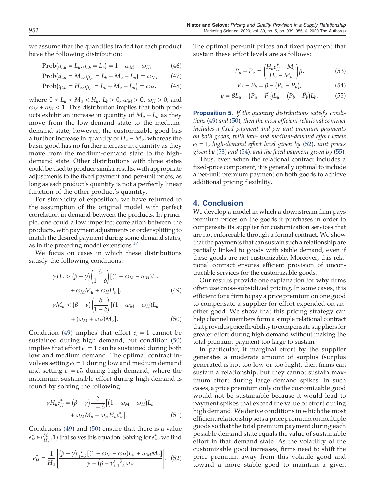we assume that the quantities traded for each product have the following distribution:

$$
Prob(q_{t,u} = L_u, q_{t,b} = L_b) = 1 - \omega_M - \omega_H,
$$
 (46)

$$
Prob(q_{t,u} = M_u, q_{t,b} = L_b + M_u - L_u) = \omega_M, \qquad (47)
$$

$$
Prob(q_{t,u} = H_u, q_{t,b} = L_b + M_u - L_u) = \omega_H, \qquad (48)
$$

where  $0 < L_u < M_u < H_u$ ,  $L_b > 0$ ,  $\omega_M > 0$ ,  $\omega_H > 0$ , and  $\omega_M + \omega_H < 1$ . This distribution implies that both products exhibit an increase in quantity of  $M_u - L_u$  as they move from the low-demand state to the mediumdemand state; however, the customizable good has a further increase in quantity of  $H_u - M_u$ , whereas the basic good has no further increase in quantity as they move from the medium-demand state to the highdemand state. Other distributions with three states could be used to produce similar results, with appropriate adjustments to the fixed payment and per-unit prices, as long as each product's quantity is not a perfectly linear function of the other product's quantity.

For simplicity of exposition, we have returned to the assumption of the original model with perfect correlation in demand between the products. In principle, one could allow imperfect correlation between the products, with payment adjustments or order splitting to match the desired payment during some demand states, as in the preceding model extensions.<sup>[17](#page-17-48)</sup>

<span id="page-15-1"></span>We focus on cases in which these distributions satisfy the following conditions:

<span id="page-15-2"></span>
$$
\gamma H_u > (\beta - \gamma) \left(\frac{\delta}{1 - \delta}\right) [(1 - \omega_M - \omega_H) L_u + \omega_M M_u + \omega_H H_u],
$$
\n
$$
\gamma M_u < (\beta - \gamma) \left(\frac{\delta}{1 - \delta}\right) [(1 - \omega_M - \omega_H) L_u
$$
\n(49)

$$
+(\omega_M + \omega_H)M_u].
$$
\n(50)

Condition ([49](#page-15-1)) implies that effort  $e_t = 1$  cannot be sustained during high demand, but condition ([50](#page-15-2)) implies that effort  $e_t = 1$  can be sustained during both low and medium demand. The optimal contract involves setting  $e_t = 1$  during low and medium demand and setting  $e_t = e_H^*$  during high demand, where the maximum sustainable effort during high demand is found by solving the following:

$$
\gamma H_u e_H^* = (\beta - \gamma) \frac{\delta}{1 - \delta} \left[ (1 - \omega_M - \omega_H) L_u + \omega_M M_u + \omega_H H_u e_H^* \right].
$$
\n(51)

<span id="page-15-3"></span>Conditions [\(49\)](#page-15-1) and ([50](#page-15-2)) ensure that there is a value  $e_H^* \in (\frac{M_u}{H_u}, 1)$  that solves this equation. Solving for  $e_H^*$ , we find

$$
e_H^* = \frac{1}{H_u} \left[ \frac{(\beta - \gamma) \frac{\delta}{1 - \delta} \left[ (1 - \omega_M - \omega_H) L_u + \omega_M M_u \right]}{\gamma - (\beta - \gamma) \frac{\delta}{1 - \delta} \omega_H} \right]. \tag{52}
$$

<span id="page-15-5"></span><span id="page-15-4"></span>The optimal per-unit prices and fixed payment that sustain these effort levels are as follows:

$$
P_u - \bar{P_u} = \left(\frac{H_u e_H^* - M_u}{H_u - M_u}\right) \beta,\tag{53}
$$

$$
P_b - \bar{P_b} = \beta - (P_u - \bar{P_u}), \qquad (54)
$$

$$
y = \beta L_u - (P_u - \bar{P_u})L_u - (P_b - \bar{P_b})L_b.
$$
 (55)

<span id="page-15-6"></span>**Proposition 5.** If the quantity distributions satisfy conditions [\(49](#page-15-1)) and ([50\)](#page-15-2), then the most efficient relational contract includes a fixed payment and per-unit premium payments on both goods, with low- and medium-demand effort levels  $e_t = 1$ , high-demand effort level given by [\(52](#page-15-3)), unit prices given by ([53\)](#page-15-4) and ([54\)](#page-15-5), and the fixed payment given by ([55\)](#page-15-6).

Thus, even when the relational contract includes a fixed-price component, it is generally optimal to include a per-unit premium payment on both goods to achieve additional pricing flexibility.

#### <span id="page-15-0"></span>4. Conclusion

We develop a model in which a downstream firm pays premium prices on the goods it purchases in order to compensate its supplier for customization services that are not enforceable through a formal contract. We show that the payments that can sustain such a relationship are partially linked to goods with stable demand, even if these goods are not customizable. Moreover, this relational contract ensures efficient provision of uncontractible services for the customizable goods.

Our results provide one explanation for why firms often use cross-subsidized pricing. In some cases, it is efficient for a firm to pay a price premium on one good to compensate a supplier for effort expended on another good. We show that this pricing strategy can help channel members form a simple relational contract that provides priceflexibility to compensate suppliers for greater effort during high demand without making the total premium payment too large to sustain.

In particular, if marginal effort by the supplier generates a moderate amount of surplus (surplus generated is not too low or too high), then firms can sustain a relationship, but they cannot sustain maximum effort during large demand spikes. In such cases, a price premium only on the customizable good would not be sustainable because it would lead to payment spikes that exceed the value of effort during high demand.We derive conditions in which the most efficient relationship sets a price premium on multiple goods so that the total premium payment during each possible demand state equals the value of sustainable effort in that demand state. As the volatility of the customizable good increases, firms need to shift the price premium away from this volatile good and toward a more stable good to maintain a given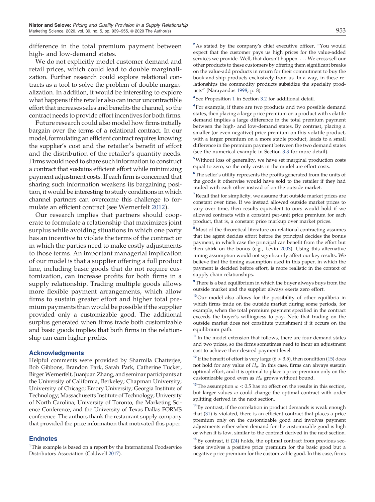difference in the total premium payment between high- and low-demand states.

We do not explicitly model customer demand and retail prices, which could lead to double marginalization. Further research could explore relational contracts as a tool to solve the problem of double marginalization. In addition, it would be interesting to explore what happens if the retailer also can incur uncontractible effort that increases sales and benefits the channel, so the contract needs to provide effort incentives for both firms.

Future research could also model how firms initially bargain over the terms of a relational contract. In our model, formulating an efficient contract requires knowing the supplier's cost and the retailer's benefit of effort and the distribution of the retailer's quantity needs. Firms would need to share such information to construct a contract that sustains efficient effort while minimizing payment adjustment costs. If each firm is concerned that sharing such information weakens its bargaining position, it would be interesting to study conditions in which channel partners can overcome this challenge to formulate an efficient contract (see Wernerfelt [2012\)](#page-18-5).

Our research implies that partners should cooperate to formulate a relationship that maximizes joint surplus while avoiding situations in which one party has an incentive to violate the terms of the contract or in which the parties need to make costly adjustments to those terms. An important managerial implication of our model is that a supplier offering a full product line, including basic goods that do not require customization, can increase profits for both firms in a supply relationship. Trading multiple goods allows more flexible payment arrangements, which allow firms to sustain greater effort and higher total premium payments than would be possible if the supplier provided only a customizable good. The additional surplus generated when firms trade both customizable and basic goods implies that both firms in the relationship can earn higher profits.

#### Acknowledgments

Helpful comments were provided by Sharmila Chatterjee, Bob Gibbons, Brandon Park, Sarah Park, Catherine Tucker, Birger Wernerfelt, Juanjuan Zhang, and seminar participants at the University of California, Berkeley; Chapman University; University of Chicago; Emory University; Georgia Institute of Technology; Massachusetts Institute of Technology; University of North Carolina; University of Toronto, the Marketing Science Conference, and the University of Texas Dallas FORMS conference. The authors thank the restaurant supply company that provided the price information that motivated this paper.

#### **Endnotes**

<span id="page-16-0"></span><sup>1</sup> This example is based on a report by the International Foodservice Distributors Association (Caldwell [2017\)](#page-17-49).

<span id="page-16-1"></span><sup>2</sup>As stated by the company's chief executive officer, "You would expect that the customer pays us high prices for the value-added services we provide. Well, that doesn't happen. . . . We cross-sell our other products to these customers by offering them significant breaks on the value-add products in return for their commitment to buy the book-and-ship products exclusively from us. In a way, in these relationships the commodity products subsidize the specialty products" (Narayandas [1998,](#page-17-6) p. 8).

<span id="page-16-2"></span><sup>3</sup>See Proposition [1](#page-9-1) in Section [3.2](#page-7-1) for additional detail.

<span id="page-16-3"></span><sup>4</sup> For example, if there are two products and two possible demand states, then placing a large price premium on a product with volatile demand implies a large difference in the total premium payment between the high- and low-demand states. By contrast, placing a smaller (or even negative) price premium on this volatile product, with a larger premium on a more stable product, leads to a small difference in the premium payment between the two demand states (see the numerical example in Section [3.3](#page-10-3) for more detail).

<span id="page-16-4"></span><sup>5</sup> Without loss of generality, we have set marginal production costs equal to zero, so the only costs in the model are effort costs.

<span id="page-16-5"></span><sup>6</sup>The seller's utility represents the profits generated from the units of the goods it otherwise would have sold to the retailer if they had traded with each other instead of on the outside market.

<span id="page-16-6"></span><sup>7</sup> Recall that for simplicity, we assume that outside market prices are constant over time. If we instead allowed outside market prices to vary over time, then results equivalent to ours would hold if we allowed contracts with a constant per-unit price premium for each product, that is, a constant price markup over market prices.

<span id="page-16-7"></span><sup>8</sup>Most of the theoretical literature on relational contracting assumes that the agent decides effort before the principal decides the bonus payment, in which case the principal can benefit from the effort but then shirk on the bonus (e.g., Levin [2003\)](#page-17-7). Using this alternative timing assumption would not significantly affect our key results. We believe that the timing assumption used in this paper, in which the payment is decided before effort, is more realistic in the context of supply chain relationships.

<span id="page-16-8"></span><sup>9</sup> There is a bad equilibrium in which the buyer always buys from the outside market and the supplier always exerts zero effort.

<span id="page-16-9"></span><sup>10</sup>Our model also allows for the possibility of other equilibria in which firms trade on the outside market during some periods, for example, when the total premium payment specified in the contract exceeds the buyer's willingness to pay. Note that trading on the outside market does not constitute punishment if it occurs on the equilibrium path.

<span id="page-16-10"></span><sup>11</sup> In the model extension that follows, there are four demand states and two prices, so the firms sometimes need to incur an adjustment cost to achieve their desired payment level.

<span id="page-16-11"></span><sup>12</sup> If the benefit of effort is very large ( $\beta > 3.5$ ), then condition [\(15](#page-8-7)) does not hold for any value of  $H_u$ . In this case, firms can always sustain optimal effort, and it is optimal to place a price premium only on the customizable good even as  $H_u$  grows without bound.

<span id="page-16-12"></span><sup>13</sup> The assumption  $\omega$  < 0.5 has no effect on the results in this section, but larger values  $\omega$  could change the optimal contract with order splitting derived in the next section.

<span id="page-16-13"></span><sup>14</sup> By contrast, if the correlation in product demands is weak enough that [\(31](#page-12-0)) is violated, there is an efficient contract that places a price premium only on the customizable good and involves payment adjustments either when demand for the customizable good is high or when it is low, similar to the contract derived in the next section.

<span id="page-16-14"></span> $15$  By contrast, if ([24\)](#page-10-0) holds, the optimal contract from previous sections involves a positive price premium for the basic good but a negative price premium for the customizable good. In this case, firms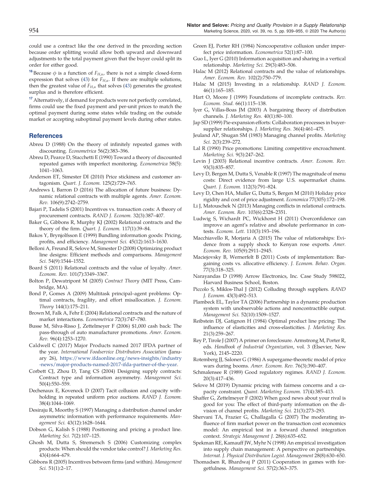could use a contract like the one derived in the preceding section because order splitting would allow both upward and downward adjustments to the total payment given that the buyer could split its order for either good.

<span id="page-17-47"></span><sup>16</sup> Because  $\phi$  is a function of  $F_{H,\mu}$ , there is not a simple closed-form expression that solves [\(43](#page-14-2)) for  $F_{H,\mu}$ . If there are multiple solutions, then the greatest value of  $F_{H,\mu}$  that solves ([43\)](#page-14-2) generates the greatest surplus and is therefore efficient.

<span id="page-17-48"></span> $^{17}$  Alternatively, if demand for products were not perfectly correlated, firms could use the fixed payment and per-unit prices to match the optimal payment during some states while trading on the outside market or accepting suboptimal payment levels during other states.

#### **References**

- <span id="page-17-17"></span>Abreu D (1988) On the theory of infinitely repeated games with discounting. Econometrica 56(2):383–396.
- <span id="page-17-42"></span>Abreu D, Pearce D, Stacchetti E (1990) Toward a theory of discounted repeated games with imperfect monitoring. Econometrica 58(5): 1041–1063.
- <span id="page-17-4"></span>Anderson ET, Simester DI (2010) Price stickiness and customer antagonism. Quart. J. Econom. 125(2):729–765.
- <span id="page-17-37"></span>Andrews I, Barron D (2016) The allocation of future business: Dynamic relational contracts with multiple agents. Amer. Econom. Rev. 106(9):2742–2759.
- <span id="page-17-45"></span>Bajari P, Tadelis S (2001) Incentives vs. transaction costs: A theory of procurement contracts. RAND J. Econom. 32(3):387–407.
- <span id="page-17-1"></span>Baker G, Gibbons R, Murphy KJ (2002) Relational contracts and the theory of the firm. Quart. J. Econom. 117(1):39–84.
- <span id="page-17-23"></span>Bakos Y, Brynjolfsson E (1999) Bundling information goods: Pricing, profits, and efficiency. Management Sci. 45(12):1613–1630.
- <span id="page-17-26"></span>Belloni A, Freund R, Selove M, Simester D (2008) Optimizing product line designs: Efficient methods and comparisons. Management Sci. 54(9):1544–1552.
- <span id="page-17-46"></span>Board S (2011) Relational contracts and the value of loyalty. Amer. Econom. Rev. 101(7):3349–3367.
- <span id="page-17-43"></span>Bolton P, Dewatripont M (2005) Contract Theory (MIT Press, Cambridge, MA).
- <span id="page-17-38"></span>Bond P, Gomes A (2009) Multitask principal–agent problems: Optimal contracts, fragility, and effort misallocation. J. Econom. Theory 144(1):175–211.
- <span id="page-17-13"></span>Brown M, Falk A, Fehr E (2004) Relational contracts and the nature of market interactions. Econometrica 72(3):747–780.
- <span id="page-17-31"></span>Busse M, Silva-Risso J, Zettelmeyer F (2006) \$1,000 cash back: The pass-through of auto manufacturer promotions. Amer. Econom. Rev. 96(4):1253–1270.
- <span id="page-17-49"></span>Caldwell C (2017) Major Products named 2017 IFDA partner of the year. International Foodservice Distributors Association (January 26), [https://www.ifdaonline.org/news-insights/industry](https://www.ifdaonline.org/news-insights/industry-news/major-products-named-2017-ifda-partner-of-the-year) [-news/major-products-named-2017-ifda-partner-of-the-year](https://www.ifdaonline.org/news-insights/industry-news/major-products-named-2017-ifda-partner-of-the-year).
- <span id="page-17-30"></span>Corbett CJ, Zhou D, Tang CS (2004) Designing supply contracts: Contract type and information asymmetry. Management Sci. 50(4):550–559.
- <span id="page-17-19"></span>Dechenaux E, Kovenock D (2007) Tacit collusion and capacity withholding in repeated uniform price auctions. RAND J. Econom. 38(4):1044–1069.
- <span id="page-17-28"></span>Desiraju R, Moorthy S (1997) Managing a distribution channel under asymmetric information with performance requirements. Management Sci. 43(12):1628–1644.
- <span id="page-17-35"></span><span id="page-17-25"></span>Dobson G, Kalish S (1988) Positioning and pricing a product line. Marketing Sci. 7(2):107–125.
- Ghosh M, Dutta S, Stremersch S (2006) Customizing complex products: When should the vendor take control? J. Marketing Res. 43(4):664–679.
- <span id="page-17-8"></span>Gibbons R (2005) Incentives between firms (and within). Management Sci. 51(1):2–17.
- <span id="page-17-41"></span>Green EJ, Porter RH (1984) Noncooperative collusion under imperfect price information. Econometrica 52(1):87–100.
- <span id="page-17-32"></span>Guo L, Iyer G (2010) Information acquisition and sharing in a vertical relationship. Marketing Sci. 29(3):483–506.
- <span id="page-17-10"></span>Halac M (2012) Relational contracts and the value of relationships. Amer. Econom. Rev. 102(2):750–779.
- <span id="page-17-12"></span>Halac M (2015) Investing in a relationship. RAND J. Econom. 46(1):165–185.
- <span id="page-17-44"></span>Hart O, Moore J (1999) Foundations of incomplete contracts. Rev. Econom. Stud. 66(1):115–138.
- <span id="page-17-0"></span>Iyer G, Villas-Boas JM (2003) A bargaining theory of distribution channels. J. Marketing Res. 40(1):80–100.
- <span id="page-17-34"></span>Jap SD (1999) Pie-expansion efforts: Collaboration processes in buyersupplier relationships. J. Marketing Res. 36(4):461–475.
- <span id="page-17-27"></span>Jeuland AP, Shugan SM (1983) Managing channel profits. Marketing Sci. 2(3):239–272.
- <span id="page-17-18"></span>Lal R (1990) Price promotions: Limiting competitive encroachment. Marketing Sci. 9(3):247–262.
- <span id="page-17-7"></span>Levin J (2003) Relational incentive contracts. Amer. Econom. Rev. 93(3):835–857.
- <span id="page-17-40"></span>Levy D, Bergen M, Dutta S, Venable R (1997) The magnitude of menu costs: Direct evidence from large U.S. supermarket chains. Quart. J. Econom. 112(3):791–824.
- <span id="page-17-2"></span>Levy D, Chen HA, Muller G, Dutta S, Bergen M (2010) Holiday price rigidity and cost of price adjustment. Economica 77(305):172–198.
- <span id="page-17-11"></span>Li J, Matouschek N (2013) Managing conflicts in relational contracts. Amer. Econom. Rev. 103(6):2328–2351.
- <span id="page-17-39"></span>Ludwig S, Wichardt PC, Wickhorst H (2011) Overconfidence can improve an agent's relative and absolute performance in contests. Econom. Lett. 110(3):193–196.
- <span id="page-17-14"></span>Macchiavello R, Morjaria A (2015) The value of relationships: Evidence from a supply shock to Kenyan rose exports. Amer. Econom. Rev. 105(9):2911–2945.
- <span id="page-17-3"></span>Maciejovsky B, Wernerfelt B (2011) Costs of implementation: Bargaining costs vs. allocative efficiency. J. Econom. Behav. Organ. 77(3):318–325.
- <span id="page-17-6"></span>Narayandas D (1998) Arrow Electronics, Inc. Case Study 598022, Harvard Business School, Boston.
- <span id="page-17-21"></span>Piccolo S, Miklos-Thal J (2012) Colluding through suppliers. RAND J. Econom. 43(3):492–513.
- <span id="page-17-9"></span>Plambeck EL, Taylor TA (2006) Partnership in a dynamic production system with unobservable actions and noncontractible output. Management Sci. 52(10):1509–1527.
- <span id="page-17-24"></span>Reibstein DJ, Gatignon H (1984) Optimal product line pricing: The influence of elasticities and cross-elasticities. J. Marketing Res. 21(3):259–267.
- <span id="page-17-22"></span>Rey P, Tirole J (2007) A primer on foreclosure. Armstrong M, Porter R, eds. Handbook of Industrial Organization, vol. 3 (Elsevier, New York), 2145–2220.
- <span id="page-17-16"></span>Rotemberg JJ, Saloner G (1986) A supergame-theoretic model of price wars during booms. Amer. Econom. Rev. 76(3):390–407.
- <span id="page-17-15"></span>Schmalensee R (1989) Good regulatory regimes. RAND J. Econom. 20(3):417–436.
- <span id="page-17-5"></span>Selove M (2019) Dynamic pricing with fairness concerns and a capacity constraint. Quant. Marketing Econom. 17(4):385–413.
- <span id="page-17-29"></span>Shaffer G, Zettelmeyer F (2002) When good news about your rival is good for you: The effect of third-party information on the division of channel profits. Marketing Sci. 21(3):273-293.
- <span id="page-17-36"></span>Shervani TA, Frazier G, Challagalla G (2007) The moderating influence of firm market power on the transaction cost economics model: An empirical test in a forward channel integration context. Strategic Management J. 28(6):635–652.
- <span id="page-17-33"></span>Spekman RE, Kamauff JW, Myhr N (1998) An empirical investigation into supply chain management: A perspective on partnerships. Internat. J. Physical Distribution Logist. Management 28(8):630–650.
- <span id="page-17-20"></span>Thomadsen R, Bhardwaj P (2011) Cooperation in games with forgetfulness. Management Sci. 57(2):363–375.